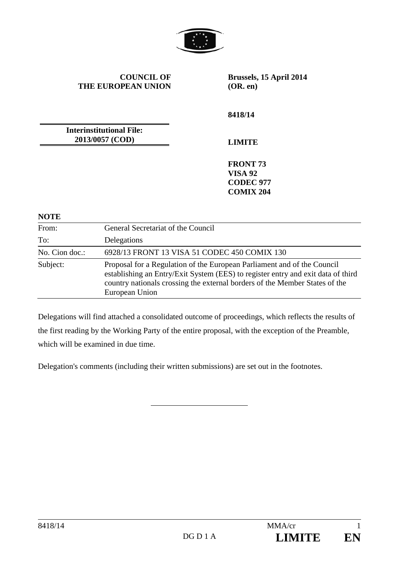

**COUNCIL OF THE EUROPEAN UNION** **Brussels, 15 April 2014 (OR. en)** 

**8418/14** 

**Interinstitutional File: 2013/0057 (COD)**

**LIMITE** 

**FRONT 73 VISA 92 CODEC 977 COMIX 204** 

**NOTE** 

| .              |                                                                                                                                                                                                                                                              |
|----------------|--------------------------------------------------------------------------------------------------------------------------------------------------------------------------------------------------------------------------------------------------------------|
| From:          | General Secretariat of the Council                                                                                                                                                                                                                           |
| To:            | Delegations                                                                                                                                                                                                                                                  |
| No. Cion doc.: | 6928/13 FRONT 13 VISA 51 CODEC 450 COMIX 130                                                                                                                                                                                                                 |
| Subject:       | Proposal for a Regulation of the European Parliament and of the Council<br>establishing an Entry/Exit System (EES) to register entry and exit data of third<br>country nationals crossing the external borders of the Member States of the<br>European Union |

Delegations will find attached a consolidated outcome of proceedings, which reflects the results of the first reading by the Working Party of the entire proposal, with the exception of the Preamble, which will be examined in due time.

Delegation's comments (including their written submissions) are set out in the footnotes.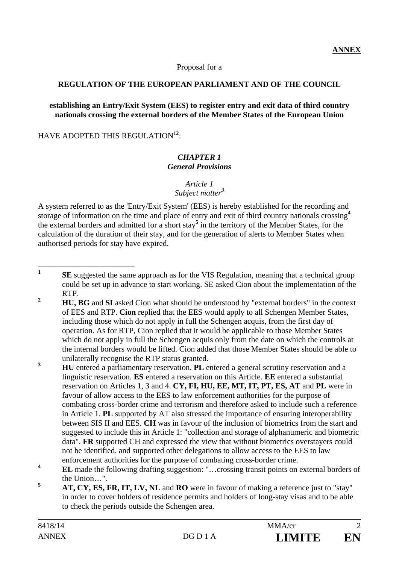#### Proposal for a

#### **REGULATION OF THE EUROPEAN PARLIAMENT AND OF THE COUNCIL**

#### **establishing an Entry/Exit System (EES) to register entry and exit data of third country nationals crossing the external borders of the Member States of the European Union**

HAVE ADOPTED THIS REGULATION**<sup>12</sup>** :

#### *CHAPTER 1 General Provisions*

#### *Article 1*

*Subject matter<sup>3</sup>* 

A system referred to as the 'Entry/Exit System' (EES) is hereby established for the recording and storage of information on the time and place of entry and exit of third country nationals crossing**<sup>4</sup>** the external borders and admitted for a short stay**<sup>5</sup>** in the territory of the Member States, for the calculation of the duration of their stay, and for the generation of alerts to Member States when authorised periods for stay have expired.

 $\mathbf{1}$ **SE** suggested the same approach as for the VIS Regulation, meaning that a technical group could be set up in advance to start working. SE asked Cion about the implementation of the RTP.

**2 HU, BG** and **SI** asked Cion what should be understood by "external borders" in the context of EES and RTP. **Cion** replied that the EES would apply to all Schengen Member States, including those which do not apply in full the Schengen acquis, from the first day of operation. As for RTP, Cion replied that it would be applicable to those Member States which do not apply in full the Schengen acquis only from the date on which the controls at the internal borders would be lifted. Cion added that those Member States should be able to unilaterally recognise the RTP status granted.

**3 HU** entered a parliamentary reservation. **PL** entered a general scrutiny reservation and a linguistic reservation. **ES** entered a reservation on this Article. **EE** entered a substantial reservation on Articles 1, 3 and 4. **CY, FI, HU, EE, MT, IT, PT, ES, AT** and **PL** were in favour of allow access to the EES to law enforcement authorities for the purpose of combating cross-border crime and terrorism and therefore asked to include such a reference in Article 1. **PL** supported by AT also stressed the importance of ensuring interoperability between SIS II and EES. **CH** was in favour of the inclusion of biometrics from the start and suggested to include this in Article 1: "collection and storage of alphanumeric and biometric data". **FR** supported CH and expressed the view that without biometrics overstayers could not be identified. and supported other delegations to allow access to the EES to law enforcement authorities for the purpose of combating cross-border crime.

**<sup>4</sup> EL** made the following drafting suggestion: "…crossing transit points on external borders of the Union…".

**<sup>5</sup> AT, CY, ES, FR, IT, LV, NL** and **RO** were in favour of making a reference just to "stay" in order to cover holders of residence permits and holders of long-stay visas and to be able to check the periods outside the Schengen area.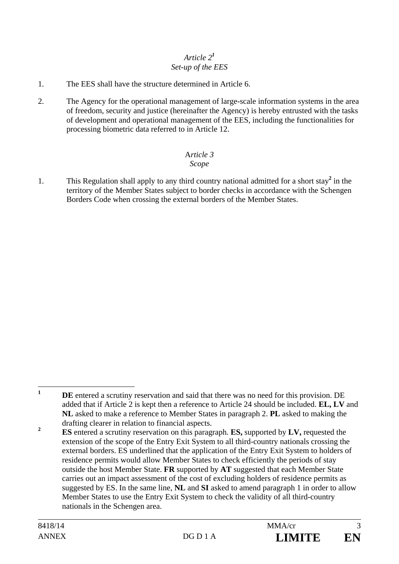### *Article 2<sup>1</sup> Set-up of the EES*

- 1. The EES shall have the structure determined in Article 6.
- 2. The Agency for the operational management of large-scale information systems in the area of freedom, security and justice (hereinafter the Agency) is hereby entrusted with the tasks of development and operational management of the EES, including the functionalities for processing biometric data referred to in Article 12.

#### A*rticle 3 Scope*

1. This Regulation shall apply to any third country national admitted for a short stay<sup>2</sup> in the territory of the Member States subject to border checks in accordance with the Schengen Borders Code when crossing the external borders of the Member States.

 **1 DE** entered a scrutiny reservation and said that there was no need for this provision. DE added that if Article 2 is kept then a reference to Article 24 should be included. **EL, LV** and **NL** asked to make a reference to Member States in paragraph 2. **PL** asked to making the drafting clearer in relation to financial aspects.

**<sup>2</sup> ES** entered a scrutiny reservation on this paragraph. **ES,** supported by **LV,** requested the extension of the scope of the Entry Exit System to all third-country nationals crossing the external borders. ES underlined that the application of the Entry Exit System to holders of residence permits would allow Member States to check efficiently the periods of stay outside the host Member State. **FR** supported by **AT** suggested that each Member State carries out an impact assessment of the cost of excluding holders of residence permits as suggested by ES. In the same line, **NL** and **SI** asked to amend paragraph 1 in order to allow Member States to use the Entry Exit System to check the validity of all third-country nationals in the Schengen area.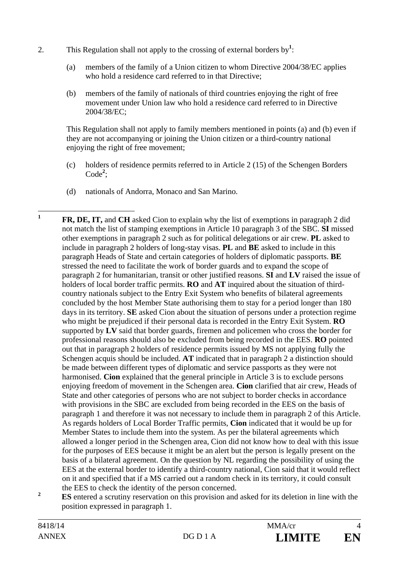- 2. This Regulation shall not apply to the crossing of external borders by<sup>1</sup>:
	- (a) members of the family of a Union citizen to whom Directive 2004/38/EC applies who hold a residence card referred to in that Directive;
	- (b) members of the family of nationals of third countries enjoying the right of free movement under Union law who hold a residence card referred to in Directive 2004/38/EC;

This Regulation shall not apply to family members mentioned in points (a) and (b) even if they are not accompanying or joining the Union citizen or a third-country national enjoying the right of free movement;

- (c) holders of residence permits referred to in Article 2 (15) of the Schengen Borders Code**<sup>2</sup>** ;
- (d) nationals of Andorra, Monaco and San Marino.

 $\mathbf{1}$ **<sup>1</sup> FR, DE, IT,** and **CH** asked Cion to explain why the list of exemptions in paragraph 2 did not match the list of stamping exemptions in Article 10 paragraph 3 of the SBC. **SI** missed other exemptions in paragraph 2 such as for political delegations or air crew. **PL** asked to include in paragraph 2 holders of long-stay visas. **PL** and **BE** asked to include in this paragraph Heads of State and certain categories of holders of diplomatic passports. **BE** stressed the need to facilitate the work of border guards and to expand the scope of paragraph 2 for humanitarian, transit or other justified reasons. **SI** and **LV** raised the issue of holders of local border traffic permits. **RO** and **AT** inquired about the situation of thirdcountry nationals subject to the Entry Exit System who benefits of bilateral agreements concluded by the host Member State authorising them to stay for a period longer than 180 days in its territory. **SE** asked Cion about the situation of persons under a protection regime who might be prejudiced if their personal data is recorded in the Entry Exit System. **RO**  supported by **LV** said that border guards, firemen and policemen who cross the border for professional reasons should also be excluded from being recorded in the EES. **RO** pointed out that in paragraph 2 holders of residence permits issued by MS not applying fully the Schengen acquis should be included. **AT** indicated that in paragraph 2 a distinction should be made between different types of diplomatic and service passports as they were not harmonised. **Cion** explained that the general principle in Article 3 is to exclude persons enjoying freedom of movement in the Schengen area. **Cion** clarified that air crew, Heads of State and other categories of persons who are not subject to border checks in accordance with provisions in the SBC are excluded from being recorded in the EES on the basis of paragraph 1 and therefore it was not necessary to include them in paragraph 2 of this Article. As regards holders of Local Border Traffic permits, **Cion** indicated that it would be up for Member States to include them into the system. As per the bilateral agreements which allowed a longer period in the Schengen area, Cion did not know how to deal with this issue for the purposes of EES because it might be an alert but the person is legally present on the basis of a bilateral agreement. On the question by NL regarding the possibility of using the EES at the external border to identify a third-country national, Cion said that it would reflect on it and specified that if a MS carried out a random check in its territory, it could consult the EES to check the identity of the person concerned. **2**

 **ES** entered a scrutiny reservation on this provision and asked for its deletion in line with the position expressed in paragraph 1.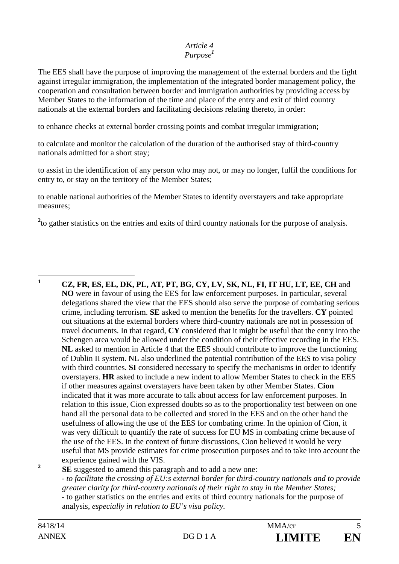#### *Article 4 Purpose<sup>1</sup>*

The EES shall have the purpose of improving the management of the external borders and the fight against irregular immigration, the implementation of the integrated border management policy, the cooperation and consultation between border and immigration authorities by providing access by Member States to the information of the time and place of the entry and exit of third country nationals at the external borders and facilitating decisions relating thereto, in order:

to enhance checks at external border crossing points and combat irregular immigration;

to calculate and monitor the calculation of the duration of the authorised stay of third-country nationals admitted for a short stay;

to assist in the identification of any person who may not, or may no longer, fulfil the conditions for entry to, or stay on the territory of the Member States;

to enable national authorities of the Member States to identify overstayers and take appropriate measures;

<sup>2</sup>to gather statistics on the entries and exits of third country nationals for the purpose of analysis.

 **1 CZ, FR, ES, EL, DK, PL, AT, PT, BG, CY, LV, SK, NL, FI, IT HU, LT, EE, CH** and **NO** were in favour of using the EES for law enforcement purposes. In particular, several delegations shared the view that the EES should also serve the purpose of combating serious crime, including terrorism. **SE** asked to mention the benefits for the travellers. **CY** pointed out situations at the external borders where third-country nationals are not in possession of travel documents. In that regard, **CY** considered that it might be useful that the entry into the Schengen area would be allowed under the condition of their effective recording in the EES. **NL** asked to mention in Article 4 that the EES should contribute to improve the functioning of Dublin II system. NL also underlined the potential contribution of the EES to visa policy with third countries. **SI** considered necessary to specify the mechanisms in order to identify overstayers. **HR** asked to include a new indent to allow Member States to check in the EES if other measures against overstayers have been taken by other Member States. **Cion**  indicated that it was more accurate to talk about access for law enforcement purposes. In relation to this issue, Cion expressed doubts so as to the proportionality test between on one hand all the personal data to be collected and stored in the EES and on the other hand the usefulness of allowing the use of the EES for combating crime. In the opinion of Cion, it was very difficult to quantify the rate of success for EU MS in combating crime because of the use of the EES. In the context of future discussions, Cion believed it would be very useful that MS provide estimates for crime prosecution purposes and to take into account the experience gained with the VIS. **2**

 **SE** suggested to amend this paragraph and to add a new one: - *to facilitate the crossing of EU:s external border for third-country nationals and to provide greater clarity for third-country nationals of their right to stay in the Member States;*  - to gather statistics on the entries and exits of third country nationals for the purpose of analysis, *especially in relation to EU's visa policy.*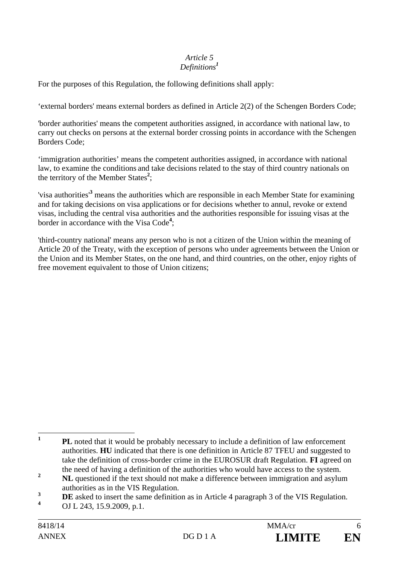#### *Article 5 Definitions<sup>1</sup>*

For the purposes of this Regulation, the following definitions shall apply:

'external borders' means external borders as defined in Article 2(2) of the Schengen Borders Code;

'border authorities' means the competent authorities assigned, in accordance with national law, to carry out checks on persons at the external border crossing points in accordance with the Schengen Borders Code;

'immigration authorities' means the competent authorities assigned, in accordance with national law, to examine the conditions and take decisions related to the stay of third country nationals on the territory of the Member States**<sup>2</sup>** ;

'visa authorities'**<sup>3</sup>** means the authorities which are responsible in each Member State for examining and for taking decisions on visa applications or for decisions whether to annul, revoke or extend visas, including the central visa authorities and the authorities responsible for issuing visas at the border in accordance with the Visa Code**<sup>4</sup>** ;

'third-country national' means any person who is not a citizen of the Union within the meaning of Article 20 of the Treaty, with the exception of persons who under agreements between the Union or the Union and its Member States, on the one hand, and third countries, on the other, enjoy rights of free movement equivalent to those of Union citizens;

 $\mathbf{1}$ **<sup>1</sup> PL** noted that it would be probably necessary to include a definition of law enforcement authorities. **HU** indicated that there is one definition in Article 87 TFEU and suggested to take the definition of cross-border crime in the EUROSUR draft Regulation. **FI** agreed on the need of having a definition of the authorities who would have access to the system.

<sup>&</sup>lt;sup>2</sup> **NL** questioned if the text should not make a difference between immigration and asylum authorities as in the VIS Regulation.

<sup>&</sup>lt;sup>3</sup> **DE** asked to insert the same definition as in Article 4 paragraph 3 of the VIS Regulation.

**<sup>4</sup>** OJ L 243, 15.9.2009, p.1.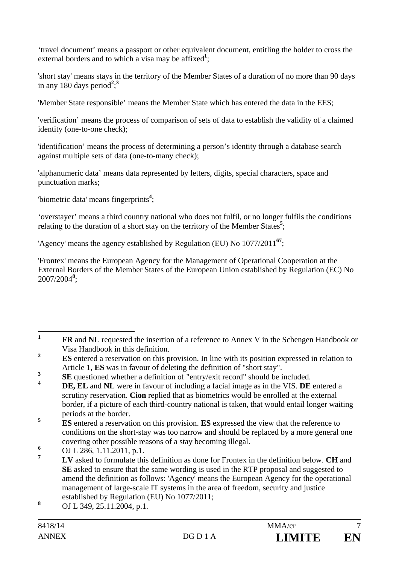'travel document' means a passport or other equivalent document, entitling the holder to cross the external borders and to which a visa may be affixed<sup>1</sup>;

'short stay' means stays in the territory of the Member States of a duration of no more than 90 days in any 180 days period<sup>2</sup>;<sup>3</sup>

'Member State responsible' means the Member State which has entered the data in the EES;

'verification' means the process of comparison of sets of data to establish the validity of a claimed identity (one-to-one check);

'identification' means the process of determining a person's identity through a database search against multiple sets of data (one-to-many check);

'alphanumeric data' means data represented by letters, digits, special characters, space and punctuation marks;

'biometric data' means fingerprints**<sup>4</sup>** ;

'overstayer' means a third country national who does not fulfil, or no longer fulfils the conditions relating to the duration of a short stay on the territory of the Member States<sup>5</sup>;

'Agency' means the agency established by Regulation (EU) No 1077/2011**<sup>67</sup>**;

'Frontex' means the European Agency for the Management of Operational Cooperation at the External Borders of the Member States of the European Union established by Regulation (EC) No 2007/2004**<sup>8</sup>** ;

 $\mathbf{1}$ **<sup>1</sup> FR** and **NL** requested the insertion of a reference to Annex V in the Schengen Handbook or Visa Handbook in this definition.

<sup>&</sup>lt;sup>2</sup> **ES** entered a reservation on this provision. In line with its position expressed in relation to Article 1, **ES** was in favour of deleting the definition of "short stay".

**<sup>3</sup> SE** questioned whether a definition of "entry/exit record" should be included.

**<sup>4</sup> DE, EL** and **NL** were in favour of including a facial image as in the VIS. **DE** entered a scrutiny reservation. **Cion** replied that as biometrics would be enrolled at the external border, if a picture of each third-country national is taken, that would entail longer waiting periods at the border.

<sup>&</sup>lt;sup>5</sup> **ES** entered a reservation on this provision. **ES** expressed the view that the reference to conditions on the short-stay was too narrow and should be replaced by a more general one covering other possible reasons of a stay becoming illegal.

**<sup>6</sup>** <sup>6</sup> OJ L 286, 1.11.2011, p.1.

**<sup>7</sup> LV** asked to formulate this definition as done for Frontex in the definition below. **CH** and **SE** asked to ensure that the same wording is used in the RTP proposal and suggested to amend the definition as follows: 'Agency' means the European Agency for the operational management of large-scale IT systems in the area of freedom, security and justice established by Regulation (EU) No 1077/2011;

**<sup>8</sup>** OJ L 349, 25.11.2004, p.1.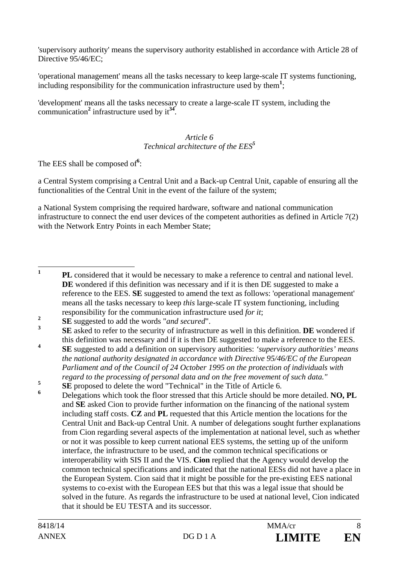'supervisory authority' means the supervisory authority established in accordance with Article 28 of Directive 95/46/EC;

'operational management' means all the tasks necessary to keep large-scale IT systems functioning, including responsibility for the communication infrastructure used by them<sup>1</sup>;

'development' means all the tasks necessary to create a large-scale IT system, including the communication**<sup>2</sup>** infrastructure used by it**<sup>34</sup>**.

#### *Article 6 Technical architecture of the EES<sup>5</sup>*

The EES shall be composed of**<sup>6</sup>** :

a Central System comprising a Central Unit and a Back-up Central Unit, capable of ensuring all the functionalities of the Central Unit in the event of the failure of the system;

a National System comprising the required hardware, software and national communication infrastructure to connect the end user devices of the competent authorities as defined in Article 7(2) with the Network Entry Points in each Member State;

**4 SE** suggested to add a definition on supervisory authorities: *'supervisory authorities' means the national authority designated in accordance with Directive 95/46/EC of the European Parliament and of the Council of 24 October 1995 on the protection of individuals with regard to the processing of personal data and on the free movement of such data."*

 $\mathbf{1}$ **<sup>1</sup> PL** considered that it would be necessary to make a reference to central and national level. DE wondered if this definition was necessary and if it is then DE suggested to make a reference to the EES. **SE** suggested to amend the text as follows: 'operational management' means all the tasks necessary to keep *this* large-scale IT system functioning, including responsibility for the communication infrastructure used *for it*;

**<sup>2</sup> SE** suggested to add the words "*and secured*".

**<sup>3</sup> SE** asked to refer to the security of infrastructure as well in this definition. **DE** wondered if this definition was necessary and if it is then DE suggested to make a reference to the EES.

**<sup>5</sup> SE** proposed to delete the word "Technical" in the Title of Article 6.

**<sup>6</sup>** Delegations which took the floor stressed that this Article should be more detailed. **NO, PL** and **SE** asked Cion to provide further information on the financing of the national system including staff costs. **CZ** and **PL** requested that this Article mention the locations for the Central Unit and Back-up Central Unit. A number of delegations sought further explanations from Cion regarding several aspects of the implementation at national level, such as whether or not it was possible to keep current national EES systems, the setting up of the uniform interface, the infrastructure to be used, and the common technical specifications or interoperability with SIS II and the VIS. **Cion** replied that the Agency would develop the common technical specifications and indicated that the national EESs did not have a place in the European System. Cion said that it might be possible for the pre-existing EES national systems to co-exist with the European EES but that this was a legal issue that should be solved in the future. As regards the infrastructure to be used at national level, Cion indicated that it should be EU TESTA and its successor.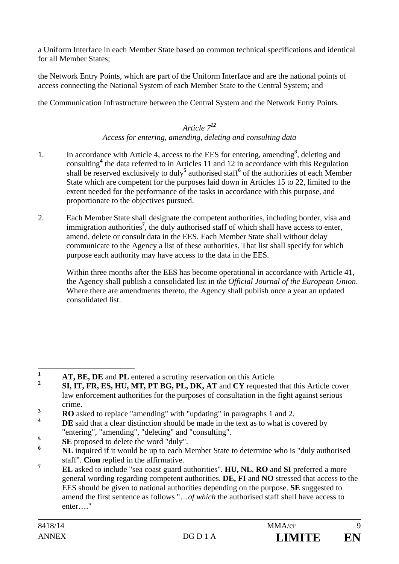a Uniform Interface in each Member State based on common technical specifications and identical for all Member States;

the Network Entry Points, which are part of the Uniform Interface and are the national points of access connecting the National System of each Member State to the Central System; and

the Communication Infrastructure between the Central System and the Network Entry Points.

## *Article 7<sup>12</sup>*

### *Access for entering, amending, deleting and consulting data*

- 1. In accordance with Article 4, access to the EES for entering, amending<sup>3</sup>, deleting and consulting**<sup>4</sup>** the data referred to in Articles 11 and 12 in accordance with this Regulation shall be reserved exclusively to duly<sup>5</sup> authorised staff<sup>6</sup> of the authorities of each Member State which are competent for the purposes laid down in Articles 15 to 22, limited to the extent needed for the performance of the tasks in accordance with this purpose, and proportionate to the objectives pursued.
- 2. Each Member State shall designate the competent authorities, including border, visa and immigration authorities**<sup>7</sup>** , the duly authorised staff of which shall have access to enter, amend, delete or consult data in the EES. Each Member State shall without delay communicate to the Agency a list of these authorities. That list shall specify for which purpose each authority may have access to the data in the EES.

Within three months after the EES has become operational in accordance with Article 41, the Agency shall publish a consolidated list in *the Official Journal of the European Union*. Where there are amendments thereto, the Agency shall publish once a year an updated consolidated list.

 $\mathbf{1}$ **1 AT, BE, DE** and **PL** entered a scrutiny reservation on this Article.

**<sup>2</sup> SI, IT, FR, ES, HU, MT, PT BG, PL, DK, AT** and **CY** requested that this Article cover law enforcement authorities for the purposes of consultation in the fight against serious crime.

**<sup>3</sup> RO** asked to replace "amending" with "updating" in paragraphs 1 and 2.

**DE** said that a clear distinction should be made in the text as to what is covered by "entering", "amending", "deleting" and "consulting".

**<sup>5</sup>**  $\frac{5}{10}$  **SE** proposed to delete the word "duly".

**<sup>6</sup> NL** inquired if it would be up to each Member State to determine who is "duly authorised staff". **Cion** replied in the affirmative.

**<sup>7</sup> EL** asked to include "sea coast guard authorities". **HU, NL**, **RO** and **SI** preferred a more general wording regarding competent authorities. **DE, FI** and **NO** stressed that access to the EES should be given to national authorities depending on the purpose. **SE** suggested to amend the first sentence as follows "…*of which* the authorised staff shall have access to enter<sub>…</sub>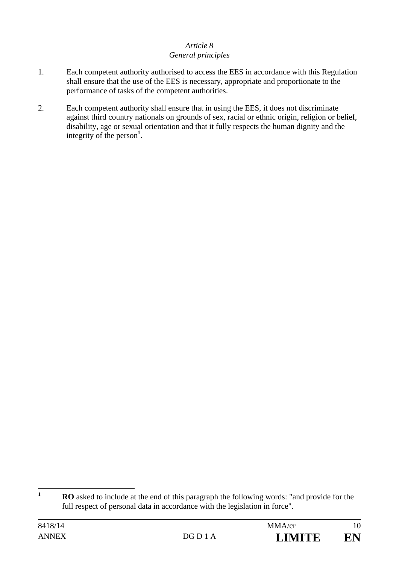#### *Article 8 General principles*

- 1. Each competent authority authorised to access the EES in accordance with this Regulation shall ensure that the use of the EES is necessary, appropriate and proportionate to the performance of tasks of the competent authorities.
- 2. Each competent authority shall ensure that in using the EES, it does not discriminate against third country nationals on grounds of sex, racial or ethnic origin, religion or belief, disability, age or sexual orientation and that it fully respects the human dignity and the integrity of the person**<sup>1</sup>** .

 $\mathbf{1}$ **<sup>1</sup> RO** asked to include at the end of this paragraph the following words: "and provide for the full respect of personal data in accordance with the legislation in force".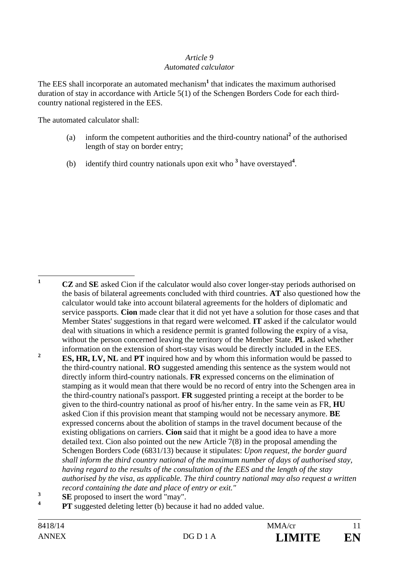#### *Article 9 Automated calculator*

The EES shall incorporate an automated mechanism**<sup>1</sup>** that indicates the maximum authorised duration of stay in accordance with Article 5(1) of the Schengen Borders Code for each thirdcountry national registered in the EES.

The automated calculator shall:

- (a) inform the competent authorities and the third-country national<sup>2</sup> of the authorised length of stay on border entry;
- (b) identify third country nationals upon exit who **<sup>3</sup>** have overstayed**<sup>4</sup>** .

 $\mathbf{1}$ **<sup>1</sup> CZ** and **SE** asked Cion if the calculator would also cover longer-stay periods authorised on the basis of bilateral agreements concluded with third countries. **AT** also questioned how the calculator would take into account bilateral agreements for the holders of diplomatic and service passports. **Cion** made clear that it did not yet have a solution for those cases and that Member States' suggestions in that regard were welcomed. **IT** asked if the calculator would deal with situations in which a residence permit is granted following the expiry of a visa, without the person concerned leaving the territory of the Member State. **PL** asked whether information on the extension of short-stay visas would be directly included in the EES. <sup>2</sup> **ES, HR, LV, NL** and **PT** inquired how and by whom this information would be passed to the third-country national. **RO** suggested amending this sentence as the system would not directly inform third-country nationals. **FR** expressed concerns on the elimination of stamping as it would mean that there would be no record of entry into the Schengen area in the third-country national's passport. **FR** suggested printing a receipt at the border to be given to the third-country national as proof of his/her entry. In the same vein as FR, **HU** asked Cion if this provision meant that stamping would not be necessary anymore. **BE**  expressed concerns about the abolition of stamps in the travel document because of the existing obligations on carriers. **Cion** said that it might be a good idea to have a more detailed text. Cion also pointed out the new Article 7(8) in the proposal amending the Schengen Borders Code (6831/13) because it stipulates: *Upon request, the border guard shall inform the third country national of the maximum number of days of authorised stay, having regard to the results of the consultation of the EES and the length of the stay authorised by the visa, as applicable. The third country national may also request a written record containing the date and place of entry or exit."* **<sup>3</sup>**

 $\frac{3}{4}$  **SE** proposed to insert the word "may".

**PT** suggested deleting letter (b) because it had no added value.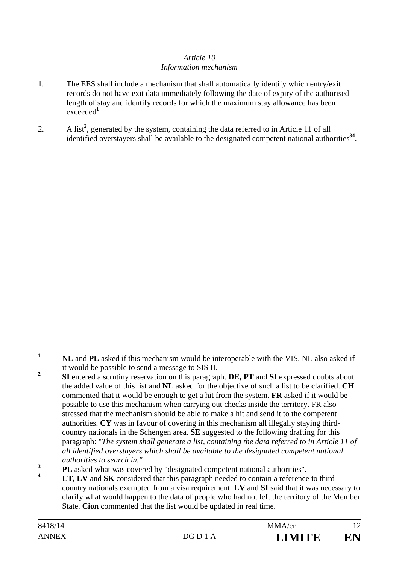### *Article 10 Information mechanism*

- 1. The EES shall include a mechanism that shall automatically identify which entry/exit records do not have exit data immediately following the date of expiry of the authorised length of stay and identify records for which the maximum stay allowance has been exceeded**<sup>1</sup>** .
- 2. A list<sup>2</sup>, generated by the system, containing the data referred to in Article 11 of all identified overstayers shall be available to the designated competent national authorities**<sup>34</sup>**.

 $\mathbf{1}$ **<sup>1</sup> NL** and **PL** asked if this mechanism would be interoperable with the VIS. NL also asked if it would be possible to send a message to SIS II.

**<sup>2</sup> SI** entered a scrutiny reservation on this paragraph. **DE, PT** and **SI** expressed doubts about the added value of this list and **NL** asked for the objective of such a list to be clarified. **CH**  commented that it would be enough to get a hit from the system. **FR** asked if it would be possible to use this mechanism when carrying out checks inside the territory. FR also stressed that the mechanism should be able to make a hit and send it to the competent authorities. **CY** was in favour of covering in this mechanism all illegally staying thirdcountry nationals in the Schengen area. **SE** suggested to the following drafting for this paragraph: "*The system shall generate a list, containing the data referred to in Article 11 of all identified overstayers which shall be available to the designated competent national authorities to search in."*

<sup>&</sup>lt;sup>3</sup> **PL** asked what was covered by "designated competent national authorities".

**<sup>4</sup> LT, LV** and **SK** considered that this paragraph needed to contain a reference to thirdcountry nationals exempted from a visa requirement. **LV** and **SI** said that it was necessary to clarify what would happen to the data of people who had not left the territory of the Member State. **Cion** commented that the list would be updated in real time.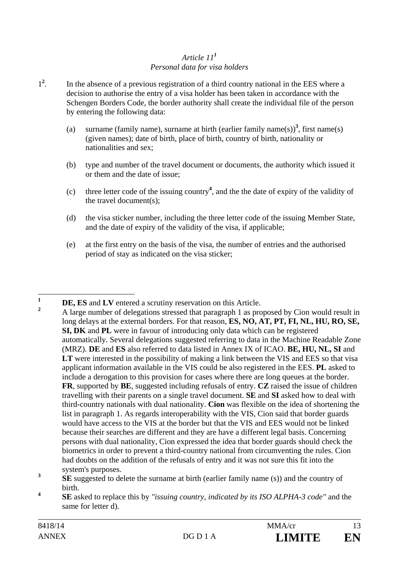### *Article 11<sup>1</sup> Personal data for visa holders*

- 1**2** . In the absence of a previous registration of a third country national in the EES where a decision to authorise the entry of a visa holder has been taken in accordance with the Schengen Borders Code, the border authority shall create the individual file of the person by entering the following data:
	- (a) surname (family name), surname at birth (earlier family name(s)<sup>3</sup>, first name(s) (given names); date of birth, place of birth, country of birth, nationality or nationalities and sex;
	- (b) type and number of the travel document or documents, the authority which issued it or them and the date of issue;
	- (c) three letter code of the issuing country**<sup>4</sup>** , and the the date of expiry of the validity of the travel document(s);
	- (d) the visa sticker number, including the three letter code of the issuing Member State, and the date of expiry of the validity of the visa, if applicable;
	- (e) at the first entry on the basis of the visa, the number of entries and the authorised period of stay as indicated on the visa sticker;

**4 SE** asked to replace this by *"issuing country, indicated by its ISO ALPHA-3 code"* and the same for letter d).

 $\mathbf{1}$ **<sup>1</sup> DE, ES** and **LV** entered a scrutiny reservation on this Article.

**<sup>2</sup>** A large number of delegations stressed that paragraph 1 as proposed by Cion would result in long delays at the external borders. For that reason, **ES, NO, AT, PT, FI, NL, HU, RO, SE, SI, DK** and **PL** were in favour of introducing only data which can be registered automatically. Several delegations suggested referring to data in the Machine Readable Zone (MRZ). **DE** and **ES** also referred to data listed in Annex IX of ICAO. **BE, HU, NL, SI** and LT were interested in the possibility of making a link between the VIS and EES so that visa applicant information available in the VIS could be also registered in the EES. **PL** asked to include a derogation to this provision for cases where there are long queues at the border. **FR**, supported by **BE**, suggested including refusals of entry. **CZ** raised the issue of children travelling with their parents on a single travel document. **SE** and **SI** asked how to deal with third-country nationals with dual nationality. **Cion** was flexible on the idea of shortening the list in paragraph 1. As regards interoperability with the VIS, Cion said that border guards would have access to the VIS at the border but that the VIS and EES would not be linked because their searches are different and they are have a different legal basis. Concerning persons with dual nationality, Cion expressed the idea that border guards should check the biometrics in order to prevent a third-country national from circumventing the rules. Cion had doubts on the addition of the refusals of entry and it was not sure this fit into the system's purposes.

**<sup>3</sup> SE** suggested to delete the surname at birth (earlier family name (s)) and the country of birth.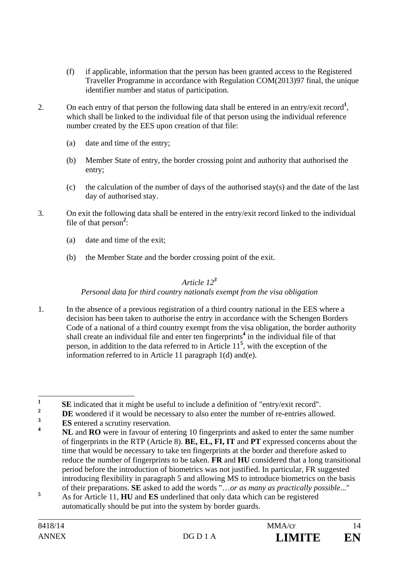- (f) if applicable, information that the person has been granted access to the Registered Traveller Programme in accordance with Regulation COM(2013)97 final, the unique identifier number and status of participation.
- 2. On each entry of that person the following data shall be entered in an entry/exit record<sup>1</sup>, which shall be linked to the individual file of that person using the individual reference number created by the EES upon creation of that file:
	- (a) date and time of the entry;
	- (b) Member State of entry, the border crossing point and authority that authorised the entry;
	- (c) the calculation of the number of days of the authorised stay(s) and the date of the last day of authorised stay.
- 3. On exit the following data shall be entered in the entry/exit record linked to the individual file of that person<sup>2</sup>:
	- (a) date and time of the exit;
	- (b) the Member State and the border crossing point of the exit.

# *Article 12<sup>3</sup>*

# *Personal data for third country nationals exempt from the visa obligation*

1. In the absence of a previous registration of a third country national in the EES where a decision has been taken to authorise the entry in accordance with the Schengen Borders Code of a national of a third country exempt from the visa obligation, the border authority shall create an individual file and enter ten fingerprints<sup>4</sup> in the individual file of that person, in addition to the data referred to in Article 11**<sup>5</sup>** , with the exception of the information referred to in Article 11 paragraph 1(d) and(e).

- $\frac{2}{3}$  **DE** wondered if it would be necessary to also enter the number of re-entries allowed.
- <sup>3</sup> **ES** entered a scrutiny reservation.
- **<sup>4</sup> NL** and **RO** were in favour of entering 10 fingerprints and asked to enter the same number of fingerprints in the RTP (Article 8). **BE, EL, FI, IT** and **PT** expressed concerns about the time that would be necessary to take ten fingerprints at the border and therefore asked to reduce the number of fingerprints to be taken. **FR** and **HU** considered that a long transitional period before the introduction of biometrics was not justified. In particular, FR suggested introducing flexibility in paragraph 5 and allowing MS to introduce biometrics on the basis of their preparations. **SE** asked to add the words "…*or as many as practically possible*..."
- **5** As for Article 11, **HU** and **ES** underlined that only data which can be registered automatically should be put into the system by border guards.

 $\mathbf{1}$ **1 SE** indicated that it might be useful to include a definition of "entry/exit record".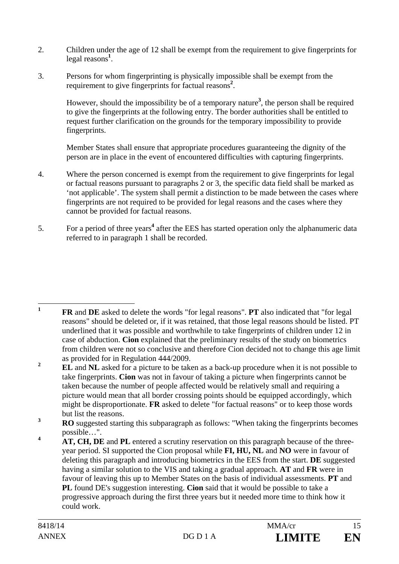- 2. Children under the age of 12 shall be exempt from the requirement to give fingerprints for legal reasons**<sup>1</sup>** .
- 3. Persons for whom fingerprinting is physically impossible shall be exempt from the requirement to give fingerprints for factual reasons**<sup>2</sup>** .

However, should the impossibility be of a temporary nature**<sup>3</sup>** , the person shall be required to give the fingerprints at the following entry. The border authorities shall be entitled to request further clarification on the grounds for the temporary impossibility to provide fingerprints.

Member States shall ensure that appropriate procedures guaranteeing the dignity of the person are in place in the event of encountered difficulties with capturing fingerprints.

- 4. Where the person concerned is exempt from the requirement to give fingerprints for legal or factual reasons pursuant to paragraphs 2 or 3, the specific data field shall be marked as 'not applicable'. The system shall permit a distinction to be made between the cases where fingerprints are not required to be provided for legal reasons and the cases where they cannot be provided for factual reasons.
- 5. For a period of three years<sup>4</sup> after the EES has started operation only the alphanumeric data referred to in paragraph 1 shall be recorded.

 $\mathbf{1}$ **<sup>1</sup> FR** and **DE** asked to delete the words "for legal reasons". **PT** also indicated that "for legal reasons" should be deleted or, if it was retained, that those legal reasons should be listed. PT underlined that it was possible and worthwhile to take fingerprints of children under 12 in case of abduction. **Cion** explained that the preliminary results of the study on biometrics from children were not so conclusive and therefore Cion decided not to change this age limit as provided for in Regulation 444/2009.

<sup>&</sup>lt;sup>2</sup> **EL** and **NL** asked for a picture to be taken as a back-up procedure when it is not possible to take fingerprints. **Cion** was not in favour of taking a picture when fingerprints cannot be taken because the number of people affected would be relatively small and requiring a picture would mean that all border crossing points should be equipped accordingly, which might be disproportionate. **FR** asked to delete "for factual reasons" or to keep those words but list the reasons.

<sup>&</sup>lt;sup>3</sup> **RO** suggested starting this subparagraph as follows: "When taking the fingerprints becomes possible…".

**<sup>4</sup> AT, CH, DE** and **PL** entered a scrutiny reservation on this paragraph because of the threeyear period. SI supported the Cion proposal while **FI, HU, NL** and **NO** were in favour of deleting this paragraph and introducing biometrics in the EES from the start. **DE** suggested having a similar solution to the VIS and taking a gradual approach. **AT** and **FR** were in favour of leaving this up to Member States on the basis of individual assessments. **PT** and **PL** found DE's suggestion interesting. Cion said that it would be possible to take a progressive approach during the first three years but it needed more time to think how it could work.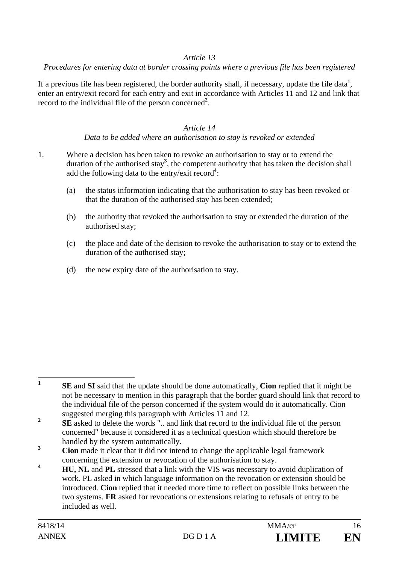### *Article 13*

#### *Procedures for entering data at border crossing points where a previous file has been registered*

If a previous file has been registered, the border authority shall, if necessary, update the file data<sup>1</sup>, enter an entry/exit record for each entry and exit in accordance with Articles 11 and 12 and link that record to the individual file of the person concerned**<sup>2</sup>** .

### *Article 14*

#### *Data to be added where an authorisation to stay is revoked or extended*

- 1. Where a decision has been taken to revoke an authorisation to stay or to extend the duration of the authorised stay<sup>3</sup>, the competent authority that has taken the decision shall add the following data to the entry/exit record**<sup>4</sup>** :
	- (a) the status information indicating that the authorisation to stay has been revoked or that the duration of the authorised stay has been extended;
	- (b) the authority that revoked the authorisation to stay or extended the duration of the authorised stay;
	- (c) the place and date of the decision to revoke the authorisation to stay or to extend the duration of the authorised stay;
	- (d) the new expiry date of the authorisation to stay.

 $\mathbf{1}$ **<sup>1</sup> SE** and **SI** said that the update should be done automatically, **Cion** replied that it might be not be necessary to mention in this paragraph that the border guard should link that record to the individual file of the person concerned if the system would do it automatically. Cion suggested merging this paragraph with Articles 11 and 12.

**<sup>2</sup> SE** asked to delete the words ".. and link that record to the individual file of the person concerned" because it considered it as a technical question which should therefore be handled by the system automatically.

<sup>&</sup>lt;sup>3</sup> **Cion** made it clear that it did not intend to change the applicable legal framework concerning the extension or revocation of the authorisation to stay.

**<sup>4</sup> HU, NL** and **PL** stressed that a link with the VIS was necessary to avoid duplication of work. PL asked in which language information on the revocation or extension should be introduced. **Cion** replied that it needed more time to reflect on possible links between the two systems. **FR** asked for revocations or extensions relating to refusals of entry to be included as well.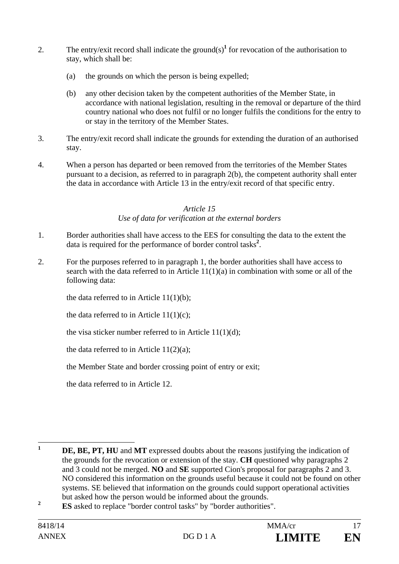- 2. The entry/exit record shall indicate the ground(s)<sup>1</sup> for revocation of the authorisation to stay, which shall be:
	- (a) the grounds on which the person is being expelled;
	- (b) any other decision taken by the competent authorities of the Member State, in accordance with national legislation, resulting in the removal or departure of the third country national who does not fulfil or no longer fulfils the conditions for the entry to or stay in the territory of the Member States.
- 3. The entry/exit record shall indicate the grounds for extending the duration of an authorised stay.
- 4. When a person has departed or been removed from the territories of the Member States pursuant to a decision, as referred to in paragraph 2(b), the competent authority shall enter the data in accordance with Article 13 in the entry/exit record of that specific entry.

### *Article 15*

### *Use of data for verification at the external borders*

- 1. Border authorities shall have access to the EES for consulting the data to the extent the data is required for the performance of border control tasks**<sup>2</sup>** .
- 2. For the purposes referred to in paragraph 1, the border authorities shall have access to search with the data referred to in Article  $11(1)(a)$  in combination with some or all of the following data:

the data referred to in Article  $11(1)(b)$ ;

the data referred to in Article  $11(1)(c)$ ;

the visa sticker number referred to in Article  $11(1)(d)$ ;

the data referred to in Article  $11(2)(a)$ ;

the Member State and border crossing point of entry or exit;

the data referred to in Article 12.

**<sup>2</sup> ES** asked to replace "border control tasks" by "border authorities".

 $\mathbf{1}$ **<sup>1</sup> DE, BE, PT, HU** and **MT** expressed doubts about the reasons justifying the indication of the grounds for the revocation or extension of the stay. **CH** questioned why paragraphs 2 and 3 could not be merged. **NO** and **SE** supported Cion's proposal for paragraphs 2 and 3. NO considered this information on the grounds useful because it could not be found on other systems. SE believed that information on the grounds could support operational activities but asked how the person would be informed about the grounds.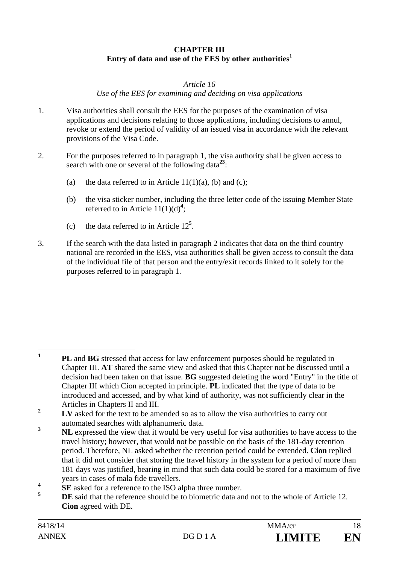### **CHAPTER III**  Entry of data and use of the EES by other authorities $^1$

#### *Article 16*

*Use of the EES for examining and deciding on visa applications* 

- 1. Visa authorities shall consult the EES for the purposes of the examination of visa applications and decisions relating to those applications, including decisions to annul, revoke or extend the period of validity of an issued visa in accordance with the relevant provisions of the Visa Code.
- 2. For the purposes referred to in paragraph 1, the visa authority shall be given access to search with one or several of the following data**<sup>23</sup>**:
	- (a) the data referred to in Article  $11(1)(a)$ , (b) and (c);
	- (b) the visa sticker number, including the three letter code of the issuing Member State referred to in Article  $11(1)(d)^4$ ;
	- (c) the data referred to in Article  $12^5$ .
- 3. If the search with the data listed in paragraph 2 indicates that data on the third country national are recorded in the EES, visa authorities shall be given access to consult the data of the individual file of that person and the entry/exit records linked to it solely for the purposes referred to in paragraph 1.

 **1 PL** and **BG** stressed that access for law enforcement purposes should be regulated in Chapter III. **AT** shared the same view and asked that this Chapter not be discussed until a decision had been taken on that issue. **BG** suggested deleting the word "Entry" in the title of Chapter III which Cion accepted in principle. **PL** indicated that the type of data to be introduced and accessed, and by what kind of authority, was not sufficiently clear in the Articles in Chapters II and III.

**<sup>2</sup>** LV asked for the text to be amended so as to allow the visa authorities to carry out automated searches with alphanumeric data.

**<sup>3</sup> NL** expressed the view that it would be very useful for visa authorities to have access to the travel history; however, that would not be possible on the basis of the 181-day retention period. Therefore, NL asked whether the retention period could be extended. **Cion** replied that it did not consider that storing the travel history in the system for a period of more than 181 days was justified, bearing in mind that such data could be stored for a maximum of five years in cases of mala fide travellers.

**<sup>4</sup> SE** asked for a reference to the ISO alpha three number.

**<sup>5</sup> DE** said that the reference should be to biometric data and not to the whole of Article 12. **Cion** agreed with DE.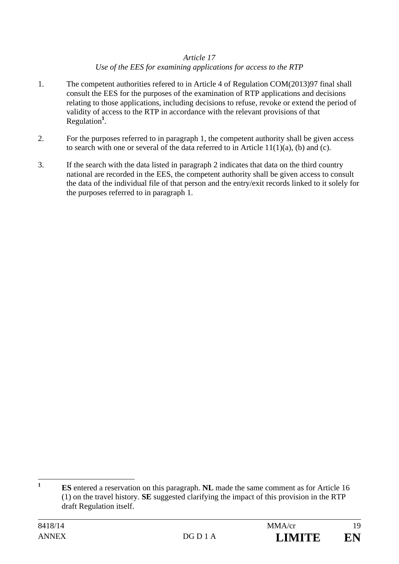### *Article 17 Use of the EES for examining applications for access to the RTP*

- 1. The competent authorities refered to in Article 4 of Regulation COM(2013)97 final shall consult the EES for the purposes of the examination of RTP applications and decisions relating to those applications, including decisions to refuse, revoke or extend the period of validity of access to the RTP in accordance with the relevant provisions of that Regulation**<sup>1</sup>** .
- 2. For the purposes referred to in paragraph 1, the competent authority shall be given access to search with one or several of the data referred to in Article  $11(1)(a)$ , (b) and (c).
- 3. If the search with the data listed in paragraph 2 indicates that data on the third country national are recorded in the EES, the competent authority shall be given access to consult the data of the individual file of that person and the entry/exit records linked to it solely for the purposes referred to in paragraph 1.

 $\mathbf{1}$ **<sup>1</sup> ES** entered a reservation on this paragraph. **NL** made the same comment as for Article 16 (1) on the travel history. **SE** suggested clarifying the impact of this provision in the RTP draft Regulation itself.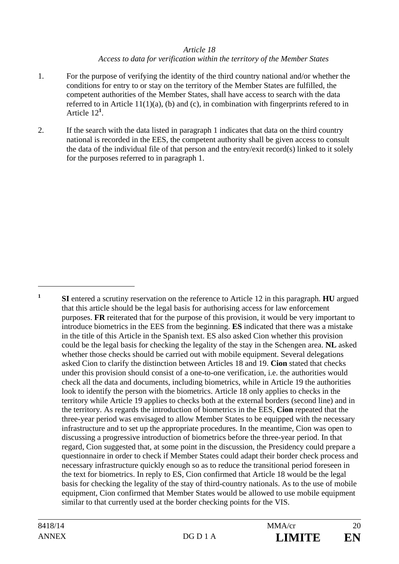#### *Article 18*

#### *Access to data for verification within the territory of the Member States*

- 1. For the purpose of verifying the identity of the third country national and/or whether the conditions for entry to or stay on the territory of the Member States are fulfilled, the competent authorities of the Member States, shall have access to search with the data referred to in Article 11(1)(a), (b) and (c), in combination with fingerprints refered to in Article 12**<sup>1</sup>** .
- 2. If the search with the data listed in paragraph 1 indicates that data on the third country national is recorded in the EES, the competent authority shall be given access to consult the data of the individual file of that person and the entry/exit record(s) linked to it solely for the purposes referred to in paragraph 1.

 $\overline{a}$ 

**<sup>1</sup> SI** entered a scrutiny reservation on the reference to Article 12 in this paragraph. **HU** argued that this article should be the legal basis for authorising access for law enforcement purposes. **FR** reiterated that for the purpose of this provision, it would be very important to introduce biometrics in the EES from the beginning. **ES** indicated that there was a mistake in the title of this Article in the Spanish text. ES also asked Cion whether this provision could be the legal basis for checking the legality of the stay in the Schengen area. **NL** asked whether those checks should be carried out with mobile equipment. Several delegations asked Cion to clarify the distinction between Articles 18 and 19. **Cion** stated that checks under this provision should consist of a one-to-one verification, i.e. the authorities would check all the data and documents, including biometrics, while in Article 19 the authorities look to identify the person with the biometrics. Article 18 only applies to checks in the territory while Article 19 applies to checks both at the external borders (second line) and in the territory. As regards the introduction of biometrics in the EES, **Cion** repeated that the three-year period was envisaged to allow Member States to be equipped with the necessary infrastructure and to set up the appropriate procedures. In the meantime, Cion was open to discussing a progressive introduction of biometrics before the three-year period. In that regard, Cion suggested that, at some point in the discussion, the Presidency could prepare a questionnaire in order to check if Member States could adapt their border check process and necessary infrastructure quickly enough so as to reduce the transitional period foreseen in the text for biometrics. In reply to ES, Cion confirmed that Article 18 would be the legal basis for checking the legality of the stay of third-country nationals. As to the use of mobile equipment, Cion confirmed that Member States would be allowed to use mobile equipment similar to that currently used at the border checking points for the VIS.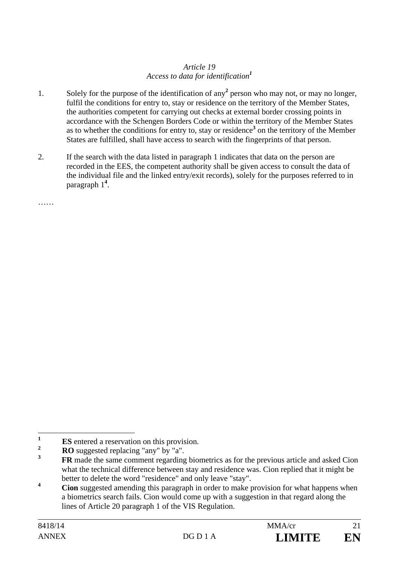### *Article 19 Access to data for identification<sup>1</sup>*

- 1. Solely for the purpose of the identification of any<sup>2</sup> person who may not, or may no longer, fulfil the conditions for entry to, stay or residence on the territory of the Member States, the authorities competent for carrying out checks at external border crossing points in accordance with the Schengen Borders Code or within the territory of the Member States as to whether the conditions for entry to, stay or residence<sup>3</sup> on the territory of the Member States are fulfilled, shall have access to search with the fingerprints of that person.
- 2. If the search with the data listed in paragraph 1 indicates that data on the person are recorded in the EES, the competent authority shall be given access to consult the data of the individual file and the linked entry/exit records), solely for the purposes referred to in paragraph 1**<sup>4</sup>** .

……

 **1 ES** entered a reservation on this provision.

**<sup>2</sup> RO** suggested replacing "any" by "a".

**<sup>3</sup> FR** made the same comment regarding biometrics as for the previous article and asked Cion what the technical difference between stay and residence was. Cion replied that it might be better to delete the word "residence" and only leave "stay".

**<sup>4</sup> Cion** suggested amending this paragraph in order to make provision for what happens when a biometrics search fails. Cion would come up with a suggestion in that regard along the lines of Article 20 paragraph 1 of the VIS Regulation.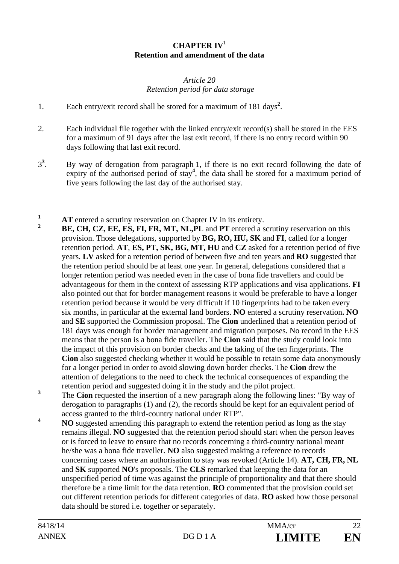### **CHAPTER IV**<sup>1</sup> **Retention and amendment of the data**

#### *Article 20 Retention period for data storage*

- 1. Each entry/exit record shall be stored for a maximum of 181 days**<sup>2</sup>** .
- 2. Each individual file together with the linked entry/exit record(s) shall be stored in the EES for a maximum of 91 days after the last exit record, if there is no entry record within 90 days following that last exit record.
- 3**3** . By way of derogation from paragraph 1, if there is no exit record following the date of expiry of the authorised period of stay<sup>4</sup>, the data shall be stored for a maximum period of five years following the last day of the authorised stay.

- **<sup>2</sup> BE, CH, CZ, EE, ES, FI, FR, MT, NL,PL** and **PT** entered a scrutiny reservation on this provision. Those delegations, supported by **BG, RO, HU, SK** and **FI**, called for a longer retention period. **AT**, **ES, PT, SK, BG, MT, HU** and **CZ** asked for a retention period of five years. **LV** asked for a retention period of between five and ten years and **RO** suggested that the retention period should be at least one year. In general, delegations considered that a longer retention period was needed even in the case of bona fide travellers and could be advantageous for them in the context of assessing RTP applications and visa applications. **FI** also pointed out that for border management reasons it would be preferable to have a longer retention period because it would be very difficult if 10 fingerprints had to be taken every six months, in particular at the external land borders. **NO** entered a scrutiny reservation**. NO**  and **SE** supported the Commission proposal. The **Cion** underlined that a retention period of 181 days was enough for border management and migration purposes. No record in the EES means that the person is a bona fide traveller. The **Cion** said that the study could look into the impact of this provision on border checks and the taking of the ten fingerprints. The **Cion** also suggested checking whether it would be possible to retain some data anonymously for a longer period in order to avoid slowing down border checks. The **Cion** drew the attention of delegations to the need to check the technical consequences of expanding the retention period and suggested doing it in the study and the pilot project.
- **3** The **Cion** requested the insertion of a new paragraph along the following lines: "By way of derogation to paragraphs (1) and (2), the records should be kept for an equivalent period of access granted to the third-country national under RTP".
- **4 NO** suggested amending this paragraph to extend the retention period as long as the stay remains illegal. **NO** suggested that the retention period should start when the person leaves or is forced to leave to ensure that no records concerning a third-country national meant he/she was a bona fide traveller. **NO** also suggested making a reference to records concerning cases where an authorisation to stay was revoked (Article 14). **AT, CH, FR, NL**  and **SK** supported **NO**'s proposals. The **CLS** remarked that keeping the data for an unspecified period of time was against the principle of proportionality and that there should therefore be a time limit for the data retention. **RO** commented that the provision could set out different retention periods for different categories of data. **RO** asked how those personal data should be stored i.e. together or separately.

 $\mathbf{1}$ **1 AT** entered a scrutiny reservation on Chapter IV in its entirety.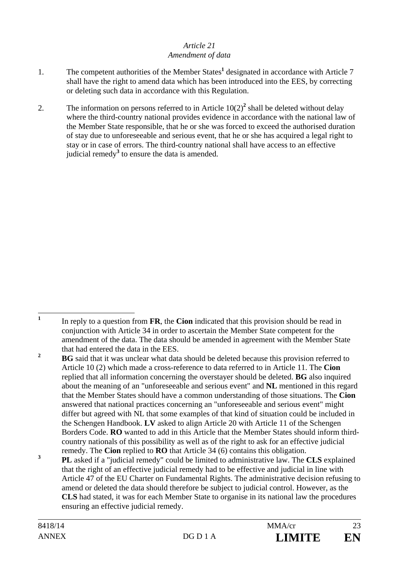### *Article 21 Amendment of data*

- 1. The competent authorities of the Member States<sup>1</sup> designated in accordance with Article 7 shall have the right to amend data which has been introduced into the EES, by correcting or deleting such data in accordance with this Regulation.
- 2. The information on persons referred to in Article  $10(2)^2$  shall be deleted without delay where the third-country national provides evidence in accordance with the national law of the Member State responsible, that he or she was forced to exceed the authorised duration of stay due to unforeseeable and serious event, that he or she has acquired a legal right to stay or in case of errors. The third-country national shall have access to an effective judicial remedy<sup>3</sup> to ensure the data is amended.

 **1** In reply to a question from **FR**, the **Cion** indicated that this provision should be read in conjunction with Article 34 in order to ascertain the Member State competent for the amendment of the data. The data should be amended in agreement with the Member State that had entered the data in the EES.

<sup>&</sup>lt;sup>2</sup> **BG** said that it was unclear what data should be deleted because this provision referred to Article 10 (2) which made a cross-reference to data referred to in Article 11. The **Cion**  replied that all information concerning the overstayer should be deleted. **BG** also inquired about the meaning of an "unforeseeable and serious event" and **NL** mentioned in this regard that the Member States should have a common understanding of those situations. The **Cion** answered that national practices concerning an "unforeseeable and serious event" might differ but agreed with NL that some examples of that kind of situation could be included in the Schengen Handbook. **LV** asked to align Article 20 with Article 11 of the Schengen Borders Code. **RO** wanted to add in this Article that the Member States should inform thirdcountry nationals of this possibility as well as of the right to ask for an effective judicial remedy. The **Cion** replied to **RO** that Article 34 (6) contains this obligation.

**<sup>3</sup> PL** asked if a "judicial remedy" could be limited to administrative law. The **CLS** explained that the right of an effective judicial remedy had to be effective and judicial in line with Article 47 of the EU Charter on Fundamental Rights. The administrative decision refusing to amend or deleted the data should therefore be subject to judicial control. However, as the **CLS** had stated, it was for each Member State to organise in its national law the procedures ensuring an effective judicial remedy.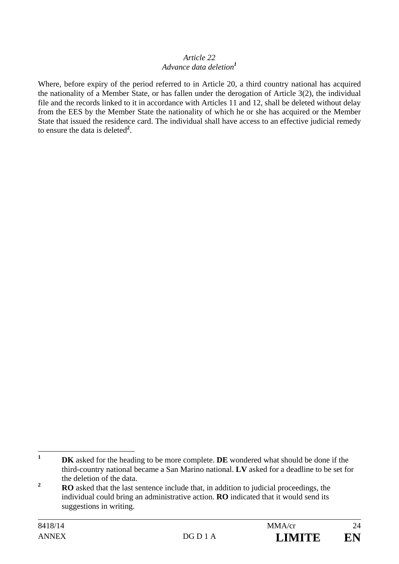#### *Article 22 Advance data deletion<sup>1</sup>*

Where, before expiry of the period referred to in Article 20, a third country national has acquired the nationality of a Member State, or has fallen under the derogation of Article 3(2), the individual file and the records linked to it in accordance with Articles 11 and 12, shall be deleted without delay from the EES by the Member State the nationality of which he or she has acquired or the Member State that issued the residence card. The individual shall have access to an effective judicial remedy to ensure the data is deleted**<sup>2</sup>** .

 $\mathbf{1}$ **IDK** asked for the heading to be more complete. **DE** wondered what should be done if the third-country national became a San Marino national. **LV** asked for a deadline to be set for the deletion of the data.

**<sup>2</sup> RO** asked that the last sentence include that, in addition to judicial proceedings, the individual could bring an administrative action. **RO** indicated that it would send its suggestions in writing.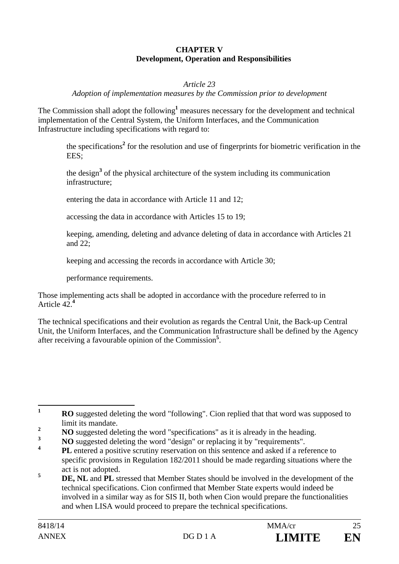#### **CHAPTER V Development, Operation and Responsibilities**

#### *Article 23*

*Adoption of implementation measures by the Commission prior to development* 

The Commission shall adopt the following<sup>1</sup> measures necessary for the development and technical implementation of the Central System, the Uniform Interfaces, and the Communication Infrastructure including specifications with regard to:

 the specifications**<sup>2</sup>** for the resolution and use of fingerprints for biometric verification in the EES;

the design<sup>3</sup> of the physical architecture of the system including its communication infrastructure;

entering the data in accordance with Article 11 and 12;

accessing the data in accordance with Articles 15 to 19;

 keeping, amending, deleting and advance deleting of data in accordance with Articles 21 and 22;

keeping and accessing the records in accordance with Article 30;

performance requirements.

Those implementing acts shall be adopted in accordance with the procedure referred to in Article 42.**<sup>4</sup>**

The technical specifications and their evolution as regards the Central Unit, the Back-up Central Unit, the Uniform Interfaces, and the Communication Infrastructure shall be defined by the Agency after receiving a favourable opinion of the Commission**<sup>5</sup>** .

 $\mathbf{1}$ **<sup>1</sup> RO** suggested deleting the word "following". Cion replied that that word was supposed to limit its mandate.

- **4 PL** entered a positive scrutiny reservation on this sentence and asked if a reference to specific provisions in Regulation 182/2011 should be made regarding situations where the act is not adopted.
- **5 DE, NL** and **PL** stressed that Member States should be involved in the development of the technical specifications. Cion confirmed that Member State experts would indeed be involved in a similar way as for SIS II, both when Cion would prepare the functionalities and when LISA would proceed to prepare the technical specifications.

**<sup>2</sup> NO** suggested deleting the word "specifications" as it is already in the heading.

**<sup>3</sup> NO** suggested deleting the word "design" or replacing it by "requirements".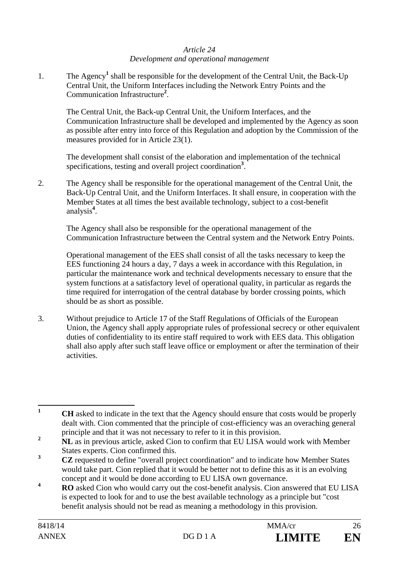#### *Article 24 Development and operational management*

1. The Agency<sup>1</sup> shall be responsible for the development of the Central Unit, the Back-Up Central Unit, the Uniform Interfaces including the Network Entry Points and the Communication Infrastructure**<sup>2</sup>** .

The Central Unit, the Back-up Central Unit, the Uniform Interfaces, and the Communication Infrastructure shall be developed and implemented by the Agency as soon as possible after entry into force of this Regulation and adoption by the Commission of the measures provided for in Article 23(1).

The development shall consist of the elaboration and implementation of the technical specifications, testing and overall project coordination**<sup>3</sup>** .

2. The Agency shall be responsible for the operational management of the Central Unit, the Back-Up Central Unit, and the Uniform Interfaces. It shall ensure, in cooperation with the Member States at all times the best available technology, subject to a cost-benefit analysis**<sup>4</sup>** .

The Agency shall also be responsible for the operational management of the Communication Infrastructure between the Central system and the Network Entry Points.

Operational management of the EES shall consist of all the tasks necessary to keep the EES functioning 24 hours a day, 7 days a week in accordance with this Regulation, in particular the maintenance work and technical developments necessary to ensure that the system functions at a satisfactory level of operational quality, in particular as regards the time required for interrogation of the central database by border crossing points, which should be as short as possible.

3. Without prejudice to Article 17 of the Staff Regulations of Officials of the European Union, the Agency shall apply appropriate rules of professional secrecy or other equivalent duties of confidentiality to its entire staff required to work with EES data. This obligation shall also apply after such staff leave office or employment or after the termination of their activities.

**4 RO** asked Cion who would carry out the cost-benefit analysis. Cion answered that EU LISA is expected to look for and to use the best available technology as a principle but "cost benefit analysis should not be read as meaning a methodology in this provision.

 **1 CH** asked to indicate in the text that the Agency should ensure that costs would be properly dealt with. Cion commented that the principle of cost-efficiency was an overaching general principle and that it was not necessary to refer to it in this provision.

**<sup>2</sup> NL** as in previous article, asked Cion to confirm that EU LISA would work with Member States experts. Cion confirmed this.

**<sup>3</sup> CZ** requested to define "overall project coordination" and to indicate how Member States would take part. Cion replied that it would be better not to define this as it is an evolving concept and it would be done according to EU LISA own governance.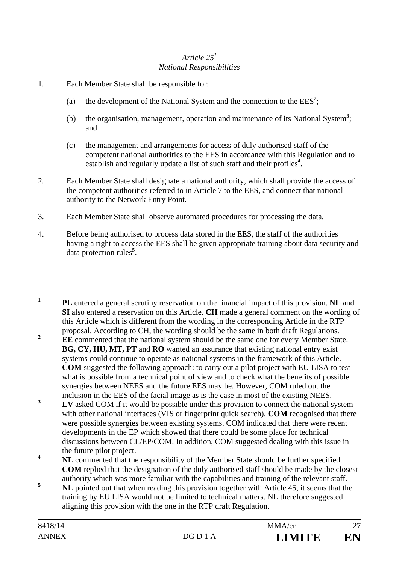### *Article 251 National Responsibilities*

- 1. Each Member State shall be responsible for:
	- (a) the development of the National System and the connection to the  $EES<sup>2</sup>$ ;
	- (b) the organisation, management, operation and maintenance of its National System**<sup>3</sup>** ; and
	- (c) the management and arrangements for access of duly authorised staff of the competent national authorities to the EES in accordance with this Regulation and to establish and regularly update a list of such staff and their profiles<sup>4</sup>.
- 2. Each Member State shall designate a national authority, which shall provide the access of the competent authorities referred to in Article 7 to the EES, and connect that national authority to the Network Entry Point.
- 3. Each Member State shall observe automated procedures for processing the data.
- 4. Before being authorised to process data stored in the EES, the staff of the authorities having a right to access the EES shall be given appropriate training about data security and data protection rules**<sup>5</sup>** .
- $\mathbf{1}$ **<sup>1</sup> PL** entered a general scrutiny reservation on the financial impact of this provision. **NL** and **SI** also entered a reservation on this Article. **CH** made a general comment on the wording of this Article which is different from the wording in the corresponding Article in the RTP proposal. According to CH, the wording should be the same in both draft Regulations.
- <sup>2</sup> **EE** commented that the national system should be the same one for every Member State. **BG, CY, HU, MT, PT** and **RO** wanted an assurance that existing national entry exist systems could continue to operate as national systems in the framework of this Article. **COM** suggested the following approach: to carry out a pilot project with EU LISA to test what is possible from a technical point of view and to check what the benefits of possible synergies between NEES and the future EES may be. However, COM ruled out the inclusion in the EES of the facial image as is the case in most of the existing NEES.
- **3 LV** asked COM if it would be possible under this provision to connect the national system with other national interfaces (VIS or fingerprint quick search). **COM** recognised that there were possible synergies between existing systems. COM indicated that there were recent developments in the EP which showed that there could be some place for technical discussions between CL/EP/COM. In addition, COM suggested dealing with this issue in the future pilot project.
- <sup>4</sup> **NL** commented that the responsibility of the Member State should be further specified. **COM** replied that the designation of the duly authorised staff should be made by the closest authority which was more familiar with the capabilities and training of the relevant staff.
- **5 NL** pointed out that when reading this provision together with Article 45, it seems that the training by EU LISA would not be limited to technical matters. NL therefore suggested aligning this provision with the one in the RTP draft Regulation.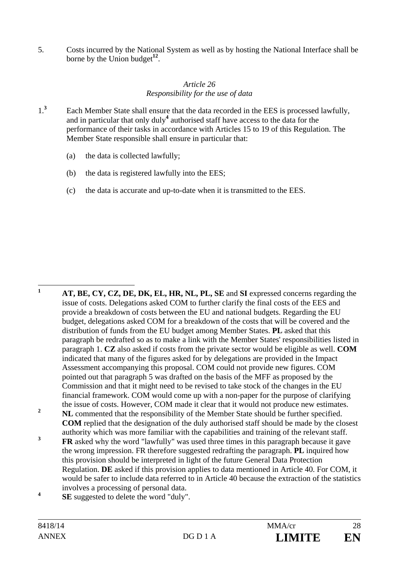5. Costs incurred by the National System as well as by hosting the National Interface shall be borne by the Union budget<sup>12</sup>.

### *Article 26 Responsibility for the use of data*

- 1.**3** Each Member State shall ensure that the data recorded in the EES is processed lawfully, and in particular that only duly**<sup>4</sup>** authorised staff have access to the data for the performance of their tasks in accordance with Articles 15 to 19 of this Regulation. The Member State responsible shall ensure in particular that:
	- (a) the data is collected lawfully;
	- (b) the data is registered lawfully into the EES;
	- (c) the data is accurate and up-to-date when it is transmitted to the EES.

- $\mathbf{1}$ **<sup>1</sup> AT, BE, CY, CZ, DE, DK, EL, HR, NL, PL, SE** and **SI** expressed concerns regarding the issue of costs. Delegations asked COM to further clarify the final costs of the EES and provide a breakdown of costs between the EU and national budgets. Regarding the EU budget, delegations asked COM for a breakdown of the costs that will be covered and the distribution of funds from the EU budget among Member States. **PL** asked that this paragraph be redrafted so as to make a link with the Member States' responsibilities listed in paragraph 1. **CZ** also asked if costs from the private sector would be eligible as well. **COM** indicated that many of the figures asked for by delegations are provided in the Impact Assessment accompanying this proposal. COM could not provide new figures. COM pointed out that paragraph 5 was drafted on the basis of the MFF as proposed by the Commission and that it might need to be revised to take stock of the changes in the EU financial framework. COM would come up with a non-paper for the purpose of clarifying the issue of costs. However, COM made it clear that it would not produce new estimates. <sup>2</sup> **NL** commented that the responsibility of the Member State should be further specified. **COM** replied that the designation of the duly authorised staff should be made by the closest authority which was more familiar with the capabilities and training of the relevant staff. <sup>3</sup> **FR** asked why the word "lawfully" was used three times in this paragraph because it gave the wrong impression. FR therefore suggested redrafting the paragraph. **PL** inquired how this provision should be interpreted in light of the future General Data Protection Regulation. **DE** asked if this provision applies to data mentioned in Article 40. For COM, it would be safer to include data referred to in Article 40 because the extraction of the statistics involves a processing of personal data. **4**
- **SE** suggested to delete the word "duly".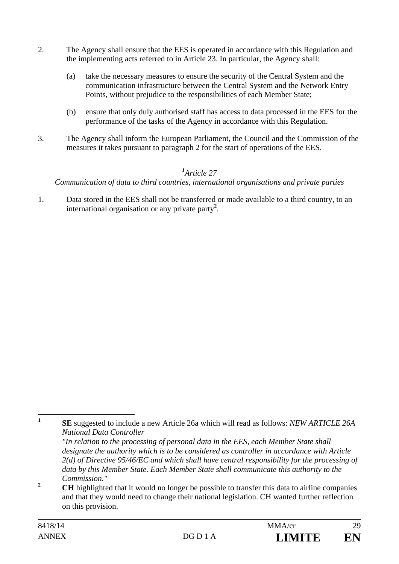- 2. The Agency shall ensure that the EES is operated in accordance with this Regulation and the implementing acts referred to in Article 23. In particular, the Agency shall:
	- (a) take the necessary measures to ensure the security of the Central System and the communication infrastructure between the Central System and the Network Entry Points, without prejudice to the responsibilities of each Member State;
	- (b) ensure that only duly authorised staff has access to data processed in the EES for the performance of the tasks of the Agency in accordance with this Regulation.
- 3. The Agency shall inform the European Parliament, the Council and the Commission of the measures it takes pursuant to paragraph 2 for the start of operations of the EES.

# *1 Article 27*

### *Communication of data to third countries, international organisations and private parties*

1. Data stored in the EES shall not be transferred or made available to a third country, to an international organisation or any private party**<sup>2</sup>** .

**1**

**SE** suggested to include a new Article 26a which will read as follows: *NEW ARTICLE 26A National Data Controller* 

*<sup>&</sup>quot;In relation to the processing of personal data in the EES, each Member State shall designate the authority which is to be considered as controller in accordance with Article 2(d) of Directive 95/46/EC and which shall have central responsibility for the processing of data by this Member State. Each Member State shall communicate this authority to the Commission."* 

<sup>&</sup>lt;sup>2</sup> **CH** highlighted that it would no longer be possible to transfer this data to airline companies and that they would need to change their national legislation. CH wanted further reflection on this provision.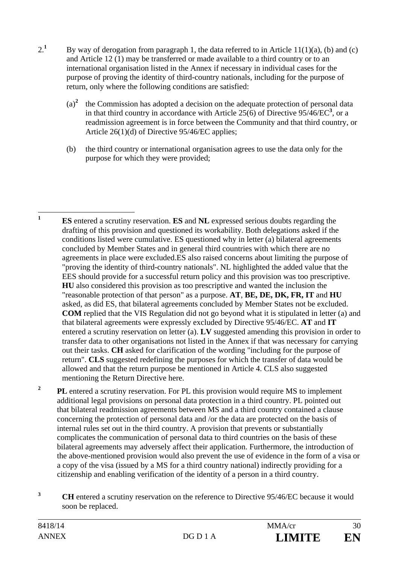- $2^{1}$ By way of derogation from paragraph 1, the data referred to in Article  $11(1)(a)$ , (b) and (c) and Article 12 (1) may be transferred or made available to a third country or to an international organisation listed in the Annex if necessary in individual cases for the purpose of proving the identity of third-country nationals, including for the purpose of return, only where the following conditions are satisfied:
	- $(a)^2$  the Commission has adopted a decision on the adequate protection of personal data in that third country in accordance with Article  $25(6)$  of Directive  $95/46/EC^3$ , or a readmission agreement is in force between the Community and that third country, or Article 26(1)(d) of Directive 95/46/EC applies;
	- (b) the third country or international organisation agrees to use the data only for the purpose for which they were provided;
- $\mathbf{1}$ **<sup>1</sup> ES** entered a scrutiny reservation. **ES** and **NL** expressed serious doubts regarding the drafting of this provision and questioned its workability. Both delegations asked if the conditions listed were cumulative. ES questioned why in letter (a) bilateral agreements concluded by Member States and in general third countries with which there are no agreements in place were excluded.ES also raised concerns about limiting the purpose of "proving the identity of third-country nationals". NL highlighted the added value that the EES should provide for a successful return policy and this provision was too prescriptive. **HU** also considered this provision as too prescriptive and wanted the inclusion the "reasonable protection of that person" as a purpose. **AT**, **BE, DE, DK, FR, IT** and **HU** asked, as did ES, that bilateral agreements concluded by Member States not be excluded. **COM** replied that the VIS Regulation did not go beyond what it is stipulated in letter (a) and that bilateral agreements were expressly excluded by Directive 95/46/EC. **AT** and **IT** entered a scrutiny reservation on letter (a). **LV** suggested amending this provision in order to transfer data to other organisations not listed in the Annex if that was necessary for carrying out their tasks. **CH** asked for clarification of the wording "including for the purpose of return". **CLS** suggested redefining the purposes for which the transfer of data would be allowed and that the return purpose be mentioned in Article 4. CLS also suggested mentioning the Return Directive here.
- **2 PL** entered a scrutiny reservation. For PL this provision would require MS to implement additional legal provisions on personal data protection in a third country. PL pointed out that bilateral readmission agreements between MS and a third country contained a clause concerning the protection of personal data and /or the data are protected on the basis of internal rules set out in the third country. A provision that prevents or substantially complicates the communication of personal data to third countries on the basis of these bilateral agreements may adversely affect their application. Furthermore, the introduction of the above-mentioned provision would also prevent the use of evidence in the form of a visa or a copy of the visa (issued by a MS for a third country national) indirectly providing for a citizenship and enabling verification of the identity of a person in a third country.
- <sup>3</sup> **CH** entered a scrutiny reservation on the reference to Directive 95/46/EC because it would soon be replaced.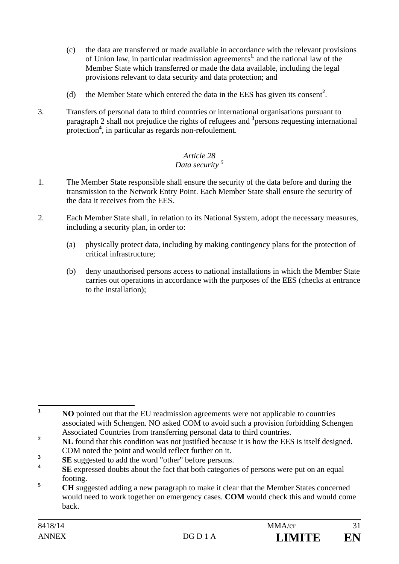- (c) the data are transferred or made available in accordance with the relevant provisions of Union law, in particular readmission agreements**1,** and the national law of the Member State which transferred or made the data available, including the legal provisions relevant to data security and data protection; and
- (d) the Member State which entered the data in the EES has given its consent**<sup>2</sup>** .
- 3. Transfers of personal data to third countries or international organisations pursuant to paragraph 2 shall not prejudice the rights of refugees and **<sup>3</sup>** persons requesting international protection<sup>4</sup>, in particular as regards non-refoulement.

### *Article 28 Data security 5*

- 1. The Member State responsible shall ensure the security of the data before and during the transmission to the Network Entry Point. Each Member State shall ensure the security of the data it receives from the EES.
- 2. Each Member State shall, in relation to its National System, adopt the necessary measures, including a security plan, in order to:
	- (a) physically protect data, including by making contingency plans for the protection of critical infrastructure;
	- (b) deny unauthorised persons access to national installations in which the Member State carries out operations in accordance with the purposes of the EES (checks at entrance to the installation);

 $\mathbf{1}$ **<sup>1</sup> NO** pointed out that the EU readmission agreements were not applicable to countries associated with Schengen. NO asked COM to avoid such a provision forbidding Schengen Associated Countries from transferring personal data to third countries.

<sup>&</sup>lt;sup>2</sup> **NL** found that this condition was not justified because it is how the EES is itself designed. COM noted the point and would reflect further on it.

**<sup>3</sup>**  $\frac{3}{4}$  **SE** suggested to add the word "other" before persons.

**SE** expressed doubts about the fact that both categories of persons were put on an equal footing.

**<sup>5</sup> CH** suggested adding a new paragraph to make it clear that the Member States concerned would need to work together on emergency cases. **COM** would check this and would come back.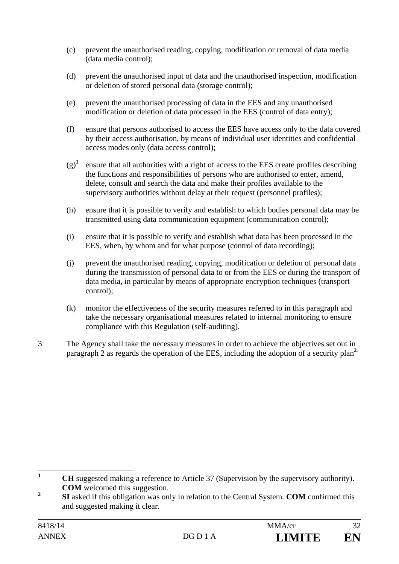- (c) prevent the unauthorised reading, copying, modification or removal of data media (data media control);
- (d) prevent the unauthorised input of data and the unauthorised inspection, modification or deletion of stored personal data (storage control);
- (e) prevent the unauthorised processing of data in the EES and any unauthorised modification or deletion of data processed in the EES (control of data entry);
- (f) ensure that persons authorised to access the EES have access only to the data covered by their access authorisation, by means of individual user identities and confidential access modes only (data access control);
- $(g)^{1}$  ensure that all authorities with a right of access to the EES create profiles describing the functions and responsibilities of persons who are authorised to enter, amend, delete, consult and search the data and make their profiles available to the supervisory authorities without delay at their request (personnel profiles);
- (h) ensure that it is possible to verify and establish to which bodies personal data may be transmitted using data communication equipment (communication control);
- (i) ensure that it is possible to verify and establish what data has been processed in the EES, when, by whom and for what purpose (control of data recording);
- (j) prevent the unauthorised reading, copying, modification or deletion of personal data during the transmission of personal data to or from the EES or during the transport of data media, in particular by means of appropriate encryption techniques (transport control);
- (k) monitor the effectiveness of the security measures referred to in this paragraph and take the necessary organisational measures related to internal monitoring to ensure compliance with this Regulation (self-auditing).
- 3. The Agency shall take the necessary measures in order to achieve the objectives set out in paragraph 2 as regards the operation of the EES, including the adoption of a security plan**<sup>2</sup>**.

 $\mathbf{1}$ **<sup>1</sup> CH** suggested making a reference to Article 37 (Supervision by the supervisory authority). **COM** welcomed this suggestion.

<sup>&</sup>lt;sup>2</sup> **SI** asked if this obligation was only in relation to the Central System. **COM** confirmed this and suggested making it clear.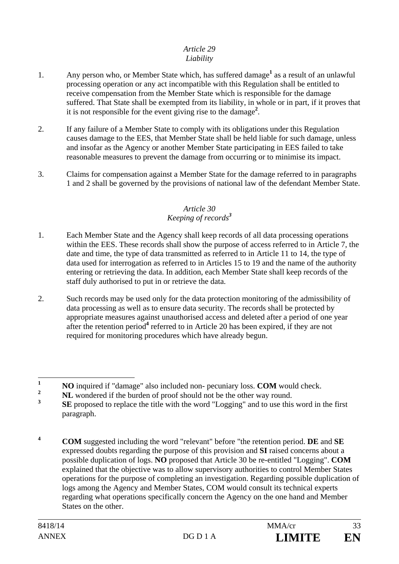#### *Article 29 Liability*

- 1. Any person who, or Member State which, has suffered damage<sup>1</sup> as a result of an unlawful processing operation or any act incompatible with this Regulation shall be entitled to receive compensation from the Member State which is responsible for the damage suffered. That State shall be exempted from its liability, in whole or in part, if it proves that it is not responsible for the event giving rise to the damage**<sup>2</sup>** .
- 2. If any failure of a Member State to comply with its obligations under this Regulation causes damage to the EES, that Member State shall be held liable for such damage, unless and insofar as the Agency or another Member State participating in EES failed to take reasonable measures to prevent the damage from occurring or to minimise its impact.
- 3. Claims for compensation against a Member State for the damage referred to in paragraphs 1 and 2 shall be governed by the provisions of national law of the defendant Member State.

#### *Article 30 Keeping of records<sup>3</sup>*

- 1. Each Member State and the Agency shall keep records of all data processing operations within the EES. These records shall show the purpose of access referred to in Article 7, the date and time, the type of data transmitted as referred to in Article 11 to 14, the type of data used for interrogation as referred to in Articles 15 to 19 and the name of the authority entering or retrieving the data. In addition, each Member State shall keep records of the staff duly authorised to put in or retrieve the data.
- 2. Such records may be used only for the data protection monitoring of the admissibility of data processing as well as to ensure data security. The records shall be protected by appropriate measures against unauthorised access and deleted after a period of one year after the retention period<sup>4</sup> referred to in Article 20 has been expired, if they are not required for monitoring procedures which have already begun.

**<sup>4</sup> COM** suggested including the word "relevant" before "the retention period. **DE** and **SE** expressed doubts regarding the purpose of this provision and **SI** raised concerns about a possible duplication of logs. **NO** proposed that Article 30 be re-entitled "Logging". **COM**  explained that the objective was to allow supervisory authorities to control Member States operations for the purpose of completing an investigation. Regarding possible duplication of logs among the Agency and Member States, COM would consult its technical experts regarding what operations specifically concern the Agency on the one hand and Member States on the other.

 $\mathbf{1}$ **1 NO** inquired if "damage" also included non- pecuniary loss. **COM** would check.

**<sup>2</sup> NL** wondered if the burden of proof should not be the other way round.

**<sup>3</sup> SE** proposed to replace the title with the word "Logging" and to use this word in the first paragraph.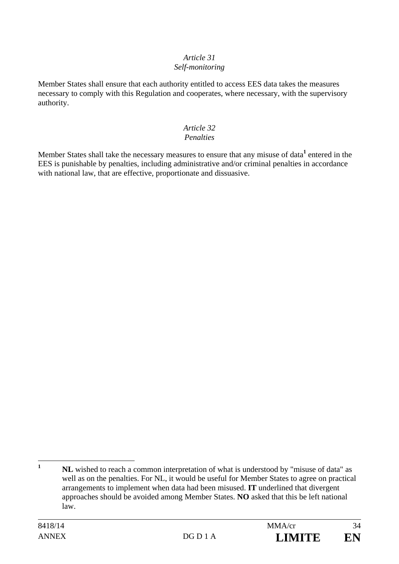#### *Article 31 Self-monitoring*

Member States shall ensure that each authority entitled to access EES data takes the measures necessary to comply with this Regulation and cooperates, where necessary, with the supervisory authority.

#### *Article 32 Penalties*

Member States shall take the necessary measures to ensure that any misuse of data<sup>1</sup> entered in the EES is punishable by penalties, including administrative and/or criminal penalties in accordance with national law, that are effective, proportionate and dissuasive.

 $\mathbf{1}$ **<sup>1</sup> NL** wished to reach a common interpretation of what is understood by "misuse of data" as well as on the penalties. For NL, it would be useful for Member States to agree on practical arrangements to implement when data had been misused. **IT** underlined that divergent approaches should be avoided among Member States. **NO** asked that this be left national law.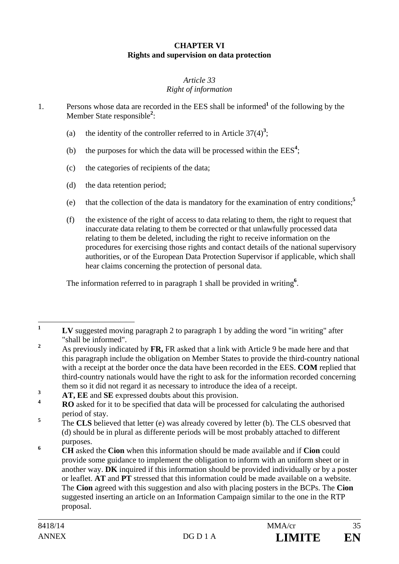### **CHAPTER VI Rights and supervision on data protection**

#### *Article 33 Right of information*

1. Persons whose data are recorded in the EES shall be informed<sup>1</sup> of the following by the Member State responsible**<sup>2</sup>** :

- (a) the identity of the controller referred to in Article  $37(4)^3$ ;
- (b) the purposes for which the data will be processed within the  $EES<sup>4</sup>$ ;
- (c) the categories of recipients of the data;
- (d) the data retention period;
- (e) that the collection of the data is mandatory for the examination of entry conditions;**<sup>5</sup>**
- (f) the existence of the right of access to data relating to them, the right to request that inaccurate data relating to them be corrected or that unlawfully processed data relating to them be deleted, including the right to receive information on the procedures for exercising those rights and contact details of the national supervisory authorities, or of the European Data Protection Supervisor if applicable, which shall hear claims concerning the protection of personal data.

The information referred to in paragraph 1 shall be provided in writing**<sup>6</sup>** .

 $\mathbf{1}$ **<sup>1</sup> LV** suggested moving paragraph 2 to paragraph 1 by adding the word "in writing" after "shall be informed".

**<sup>2</sup>** As previously indicated by **FR,** FR asked that a link with Article 9 be made here and that this paragraph include the obligation on Member States to provide the third-country national with a receipt at the border once the data have been recorded in the EES. **COM** replied that third-country nationals would have the right to ask for the information recorded concerning them so it did not regard it as necessary to introduce the idea of a receipt.<br>**AT, EE** and **SE** expressed doubts about this provision.

**<sup>4</sup> RO** asked for it to be specified that data will be processed for calculating the authorised period of stay.

**<sup>5</sup>** The **CLS** believed that letter (e) was already covered by letter (b). The CLS obesrved that (d) should be in plural as differente periods will be most probably attached to different purposes.

**<sup>6</sup> CH** asked the **Cion** when this information should be made available and if **Cion** could provide some guidance to implement the obligation to inform with an uniform sheet or in another way. **DK** inquired if this information should be provided individually or by a poster or leaflet. **AT** and **PT** stressed that this information could be made available on a website. The **Cion** agreed with this suggestion and also with placing posters in the BCPs. The **Cion**  suggested inserting an article on an Information Campaign similar to the one in the RTP proposal.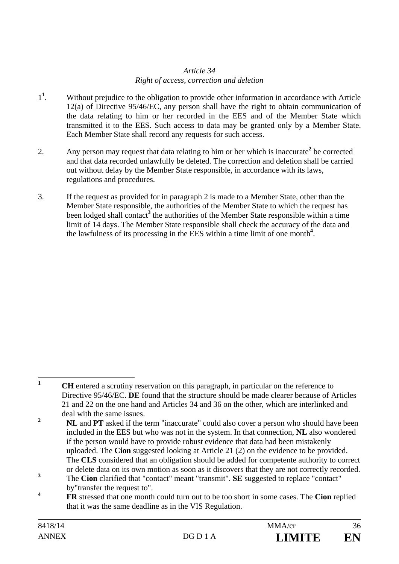### *Article 34 Right of access, correction and deletion*

- 1**1** . Without prejudice to the obligation to provide other information in accordance with Article 12(a) of Directive 95/46/EC, any person shall have the right to obtain communication of the data relating to him or her recorded in the EES and of the Member State which transmitted it to the EES. Such access to data may be granted only by a Member State. Each Member State shall record any requests for such access.
- 2. Any person may request that data relating to him or her which is inaccurate<sup>2</sup> be corrected and that data recorded unlawfully be deleted. The correction and deletion shall be carried out without delay by the Member State responsible, in accordance with its laws, regulations and procedures.
- 3. If the request as provided for in paragraph 2 is made to a Member State, other than the Member State responsible, the authorities of the Member State to which the request has been lodged shall contact<sup>3</sup> the authorities of the Member State responsible within a time limit of 14 days. The Member State responsible shall check the accuracy of the data and the lawfulness of its processing in the EES within a time limit of one month**<sup>4</sup>** .

 $\mathbf{1}$ **<sup>1</sup> CH** entered a scrutiny reservation on this paragraph, in particular on the reference to Directive 95/46/EC. **DE** found that the structure should be made clearer because of Articles 21 and 22 on the one hand and Articles 34 and 36 on the other, which are interlinked and deal with the same issues.

<sup>&</sup>lt;sup>2</sup> **NL** and **PT** asked if the term "inaccurate" could also cover a person who should have been included in the EES but who was not in the system. In that connection, **NL** also wondered if the person would have to provide robust evidence that data had been mistakenly uploaded. The **Cion** suggested looking at Article 21 (2) on the evidence to be provided. The **CLS** considered that an obligation should be added for competente authority to correct or delete data on its own motion as soon as it discovers that they are not correctly recorded.

**<sup>3</sup>** The **Cion** clarified that "contact" meant "transmit". **SE** suggested to replace "contact" by"transfer the request to".

**<sup>4</sup> FR** stressed that one month could turn out to be too short in some cases. The **Cion** replied that it was the same deadline as in the VIS Regulation.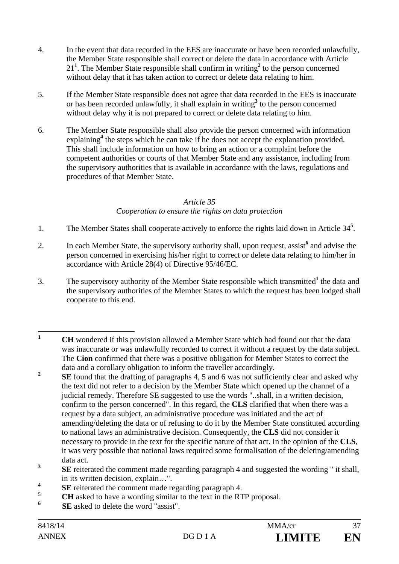- 4. In the event that data recorded in the EES are inaccurate or have been recorded unlawfully, the Member State responsible shall correct or delete the data in accordance with Article 21**<sup>1</sup>** . The Member State responsible shall confirm in writing**<sup>2</sup>** to the person concerned without delay that it has taken action to correct or delete data relating to him.
- 5. If the Member State responsible does not agree that data recorded in the EES is inaccurate or has been recorded unlawfully, it shall explain in writing**<sup>3</sup>** to the person concerned without delay why it is not prepared to correct or delete data relating to him.
- 6. The Member State responsible shall also provide the person concerned with information explaining<sup>4</sup> the steps which he can take if he does not accept the explanation provided. This shall include information on how to bring an action or a complaint before the competent authorities or courts of that Member State and any assistance, including from the supervisory authorities that is available in accordance with the laws, regulations and procedures of that Member State.

#### *Article 35*

### *Cooperation to ensure the rights on data protection*

- 1. The Member States shall cooperate actively to enforce the rights laid down in Article 34**<sup>5</sup>** .
- 2. In each Member State, the supervisory authority shall, upon request, assist<sup>6</sup> and advise the person concerned in exercising his/her right to correct or delete data relating to him/her in accordance with Article 28(4) of Directive 95/46/EC.
- 3. The supervisory authority of the Member State responsible which transmitted**<sup>1</sup>** the data and the supervisory authorities of the Member States to which the request has been lodged shall cooperate to this end.

- <sup>3</sup> **SE** reiterated the comment made regarding paragraph 4 and suggested the wording " it shall, in its written decision, explain…".
- **<sup>4</sup> SE** reiterated the comment made regarding paragraph 4.
- 5  **CH** asked to have a wording similar to the text in the RTP proposal.
- **6 SE** asked to delete the word "assist".

 $\mathbf{1}$ **<sup>1</sup> CH** wondered if this provision allowed a Member State which had found out that the data was inaccurate or was unlawfully recorded to correct it without a request by the data subject. The **Cion** confirmed that there was a positive obligation for Member States to correct the data and a corollary obligation to inform the traveller accordingly.

<sup>&</sup>lt;sup>2</sup> **SE** found that the drafting of paragraphs 4, 5 and 6 was not sufficiently clear and asked why the text did not refer to a decision by the Member State which opened up the channel of a judicial remedy. Therefore SE suggested to use the words "..shall, in a written decision, confirm to the person concerned". In this regard, the **CLS** clarified that when there was a request by a data subject, an administrative procedure was initiated and the act of amending/deleting the data or of refusing to do it by the Member State constituted according to national laws an administrative decision. Consequently, the **CLS** did not consider it necessary to provide in the text for the specific nature of that act. In the opinion of the **CLS**, it was very possible that national laws required some formalisation of the deleting/amending data act.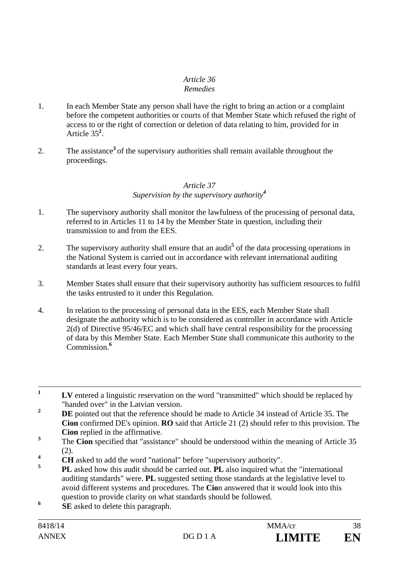#### *Article 36 Remedies*

- 1. In each Member State any person shall have the right to bring an action or a complaint before the competent authorities or courts of that Member State which refused the right of access to or the right of correction or deletion of data relating to him, provided for in Article 35**<sup>2</sup>** .
- 2. The assistance**<sup>3</sup>** of the supervisory authorities shall remain available throughout the proceedings.

#### *Article 37 Supervision by the supervisory authority<sup>4</sup>*

- 1. The supervisory authority shall monitor the lawfulness of the processing of personal data, referred to in Articles 11 to 14 by the Member State in question, including their transmission to and from the EES.
- 2. The supervisory authority shall ensure that an audit<sup>5</sup> of the data processing operations in the National System is carried out in accordance with relevant international auditing standards at least every four years.
- 3. Member States shall ensure that their supervisory authority has sufficient resources to fulfil the tasks entrusted to it under this Regulation.
- 4. In relation to the processing of personal data in the EES, each Member State shall designate the authority which is to be considered as controller in accordance with Article 2(d) of Directive 95/46/EC and which shall have central responsibility for the processing of data by this Member State. Each Member State shall communicate this authority to the Commission.**<sup>6</sup>**

- <sup>2</sup> **DE** pointed out that the reference should be made to Article 34 instead of Article 35. The **Cion** confirmed DE's opinion. **RO** said that Article 21 (2) should refer to this provision. The **Cion** replied in the affirmative.
- **3** The **Cion** specified that "assistance" should be understood within the meaning of Article 35 (2).
- **4 CH** asked to add the word "national" before "supervisory authority".
- **<sup>5</sup> PL** asked how this audit should be carried out. **PL** also inquired what the "international auditing standards" were. **PL** suggested setting those standards at the legislative level to avoid different systems and procedures. The **Cio**n answered that it would look into this question to provide clarity on what standards should be followed.
- **6 SE** asked to delete this paragraph.

**<sup>1</sup> LV** entered a linguistic reservation on the word "transmitted" which should be replaced by "handed over" in the Latvian version.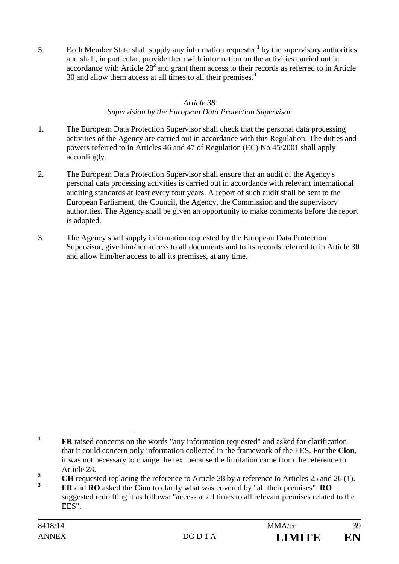5. Each Member State shall supply any information requested<sup>1</sup> by the supervisory authorities and shall, in particular, provide them with information on the activities carried out in accordance with Article 28**<sup>2</sup>**and grant them access to their records as referred to in Article 30 and allow them access at all times to all their premises.**<sup>3</sup>**

### *Article 38 Supervision by the European Data Protection Supervisor*

- 1. The European Data Protection Supervisor shall check that the personal data processing activities of the Agency are carried out in accordance with this Regulation. The duties and powers referred to in Articles 46 and 47 of Regulation (EC) No 45/2001 shall apply accordingly.
- 2. The European Data Protection Supervisor shall ensure that an audit of the Agency's personal data processing activities is carried out in accordance with relevant international auditing standards at least every four years. A report of such audit shall be sent to the European Parliament, the Council, the Agency, the Commission and the supervisory authorities. The Agency shall be given an opportunity to make comments before the report is adopted.
- 3. The Agency shall supply information requested by the European Data Protection Supervisor, give him/her access to all documents and to its records referred to in Article 30 and allow him/her access to all its premises, at any time.

 $\mathbf{1}$ **FR** raised concerns on the words "any information requested" and asked for clarification that it could concern only information collected in the framework of the EES. For the **Cion**, it was not necessary to change the text because the limitation came from the reference to Article 28.

<sup>&</sup>lt;sup>2</sup> **CH** requested replacing the reference to Article 28 by a reference to Articles 25 and 26 (1).

**<sup>3</sup> FR** and **RO** asked the **Cion** to clarify what was covered by "all their premises". **RO** suggested redrafting it as follows: "access at all times to all relevant premises related to the EES".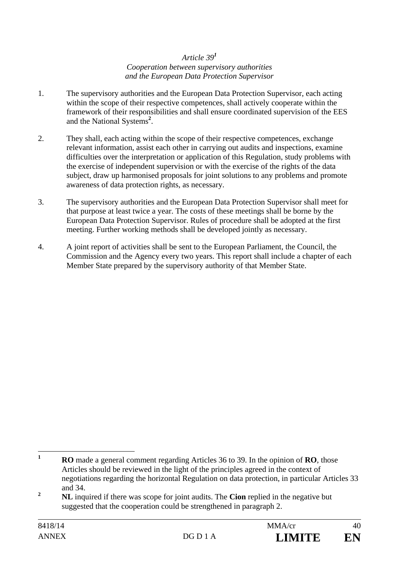#### *Article 39<sup>1</sup> Cooperation between supervisory authorities and the European Data Protection Supervisor*

- 1. The supervisory authorities and the European Data Protection Supervisor, each acting within the scope of their respective competences, shall actively cooperate within the framework of their responsibilities and shall ensure coordinated supervision of the EES and the National Systems**<sup>2</sup>** .
- 2. They shall, each acting within the scope of their respective competences, exchange relevant information, assist each other in carrying out audits and inspections, examine difficulties over the interpretation or application of this Regulation, study problems with the exercise of independent supervision or with the exercise of the rights of the data subject, draw up harmonised proposals for joint solutions to any problems and promote awareness of data protection rights, as necessary.
- 3. The supervisory authorities and the European Data Protection Supervisor shall meet for that purpose at least twice a year. The costs of these meetings shall be borne by the European Data Protection Supervisor. Rules of procedure shall be adopted at the first meeting. Further working methods shall be developed jointly as necessary.
- 4. A joint report of activities shall be sent to the European Parliament, the Council, the Commission and the Agency every two years. This report shall include a chapter of each Member State prepared by the supervisory authority of that Member State.

 $\mathbf{1}$ **<sup>1</sup> RO** made a general comment regarding Articles 36 to 39. In the opinion of **RO**, those Articles should be reviewed in the light of the principles agreed in the context of negotiations regarding the horizontal Regulation on data protection, in particular Articles 33 and 34.

<sup>&</sup>lt;sup>2</sup> **NL** inquired if there was scope for joint audits. The **Cion** replied in the negative but suggested that the cooperation could be strengthened in paragraph 2.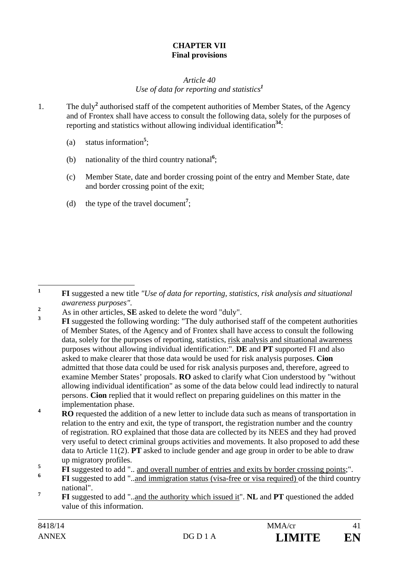### **CHAPTER VII Final provisions**

### *Article 40 Use of data for reporting and statistics<sup>1</sup>*

- 1. The duly<sup>2</sup> authorised staff of the competent authorities of Member States, of the Agency and of Frontex shall have access to consult the following data, solely for the purposes of reporting and statistics without allowing individual identification**<sup>34</sup>**:
	- (a) status information**<sup>5</sup>** ;
	- (b) nationality of the third country national**<sup>6</sup>** ;
	- (c) Member State, date and border crossing point of the entry and Member State, date and border crossing point of the exit;
	- (d) the type of the travel document**<sup>7</sup>** ;

 $\mathbf{1}$ **<sup>1</sup> FI** suggested a new title *"Use of data for reporting, statistics, risk analysis and situational awareness purposes"*. **<sup>2</sup>**

 $\frac{2}{3}$  As in other articles, **SE** asked to delete the word "duly".

**<sup>3</sup> FI** suggested the following wording: "The duly authorised staff of the competent authorities of Member States, of the Agency and of Frontex shall have access to consult the following data, solely for the purposes of reporting, statistics, risk analysis and situational awareness purposes without allowing individual identification:". **DE** and **PT** supported FI and also asked to make clearer that those data would be used for risk analysis purposes. **Cion**  admitted that those data could be used for risk analysis purposes and, therefore, agreed to examine Member States' proposals. **RO** asked to clarify what Cion understood by "without allowing individual identification" as some of the data below could lead indirectly to natural persons. **Cion** replied that it would reflect on preparing guidelines on this matter in the implementation phase.

**<sup>4</sup> RO** requested the addition of a new letter to include data such as means of transportation in relation to the entry and exit, the type of transport, the registration number and the country of registration. RO explained that those data are collected by its NEES and they had proved very useful to detect criminal groups activities and movements. It also proposed to add these data to Article 11(2). **PT** asked to include gender and age group in order to be able to draw up migratory profiles.

**FI** suggested to add "... and overall number of entries and exits by border crossing points;".

**<sup>6</sup> FI** suggested to add "..and immigration status (visa-free or visa required) of the third country national".

**<sup>7</sup> FI** suggested to add "..and the authority which issued it". **NL** and **PT** questioned the added value of this information.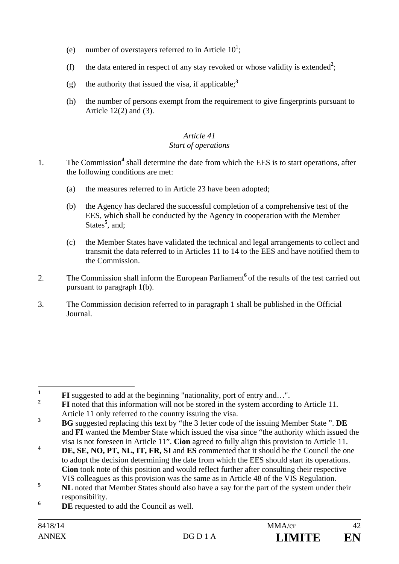- (e) number of overstayers referred to in Article  $10^1$ ;
- (f) the data entered in respect of any stay revoked or whose validity is extended<sup>2</sup>;
- (g) the authority that issued the visa, if applicable;<sup>3</sup>
- (h) the number of persons exempt from the requirement to give fingerprints pursuant to Article 12(2) and (3).

#### *Article 41 Start of operations*

- 1. The Commission<sup>4</sup> shall determine the date from which the EES is to start operations, after the following conditions are met:
	- (a) the measures referred to in Article 23 have been adopted;
	- (b) the Agency has declared the successful completion of a comprehensive test of the EES, which shall be conducted by the Agency in cooperation with the Member States<sup>5</sup>, and;
	- (c) the Member States have validated the technical and legal arrangements to collect and transmit the data referred to in Articles 11 to 14 to the EES and have notified them to the Commission.
- 2. The Commission shall inform the European Parliament<sup>6</sup> of the results of the test carried out pursuant to paragraph 1(b).
- 3. The Commission decision referred to in paragraph 1 shall be published in the Official Journal.

**<sup>6</sup> DE** requested to add the Council as well.

 $\mathbf{1}$ **1 FI** suggested to add at the beginning "nationality, port of entry and...".

**<sup>2</sup> FI** noted that this information will not be stored in the system according to Article 11. Article 11 only referred to the country issuing the visa.

**<sup>3</sup> BG** suggested replacing this text by "the 3 letter code of the issuing Member State ". **DE** and **FI** wanted the Member State which issued the visa since "the authority which issued the visa is not foreseen in Article 11". **Cion** agreed to fully align this provision to Article 11.

**<sup>4</sup> DE, SE, NO, PT, NL, IT, FR, SI** and **ES** commented that it should be the Council the one to adopt the decision determining the date from which the EES should start its operations. **Cion** took note of this position and would reflect further after consulting their respective VIS colleagues as this provision was the same as in Article 48 of the VIS Regulation.

<sup>&</sup>lt;sup>5</sup> **NL** noted that Member States should also have a say for the part of the system under their responsibility.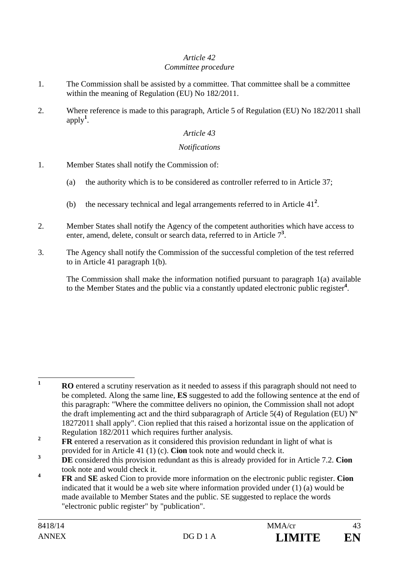#### *Article 42 Committee procedure*

- 1. The Commission shall be assisted by a committee. That committee shall be a committee within the meaning of Regulation (EU) No 182/2011.
- 2. Where reference is made to this paragraph, Article 5 of Regulation (EU) No 182/2011 shall apply**<sup>1</sup>** .

### *Article 43*

#### *Notifications*

- 1. Member States shall notify the Commission of:
	- (a) the authority which is to be considered as controller referred to in Article 37;
	- (b) the necessary technical and legal arrangements referred to in Article  $41<sup>2</sup>$ .
- 2. Member States shall notify the Agency of the competent authorities which have access to enter, amend, delete, consult or search data, referred to in Article 7<sup>3</sup>.
- 3. The Agency shall notify the Commission of the successful completion of the test referred to in Article 41 paragraph 1(b).

The Commission shall make the information notified pursuant to paragraph 1(a) available to the Member States and the public via a constantly updated electronic public register**<sup>4</sup>** .

 $\mathbf{1}$ **<sup>1</sup> RO** entered a scrutiny reservation as it needed to assess if this paragraph should not need to be completed. Along the same line, **ES** suggested to add the following sentence at the end of this paragraph: "Where the committee delivers no opinion, the Commission shall not adopt the draft implementing act and the third subparagraph of Article 5(4) of Regulation (EU)  $N^{\circ}$ 18272011 shall apply". Cion replied that this raised a horizontal issue on the application of Regulation 182/2011 which requires further analysis.

**<sup>2</sup> FR** entered a reservation as it considered this provision redundant in light of what is provided for in Article 41 (1) (c). **Cion** took note and would check it.

<sup>&</sup>lt;sup>3</sup> **DE** considered this provision redundant as this is already provided for in Article 7.2. **Cion** took note and would check it.

**<sup>4</sup> FR** and **SE** asked Cion to provide more information on the electronic public register. **Cion**  indicated that it would be a web site where information provided under (1) (a) would be made available to Member States and the public. SE suggested to replace the words "electronic public register" by "publication".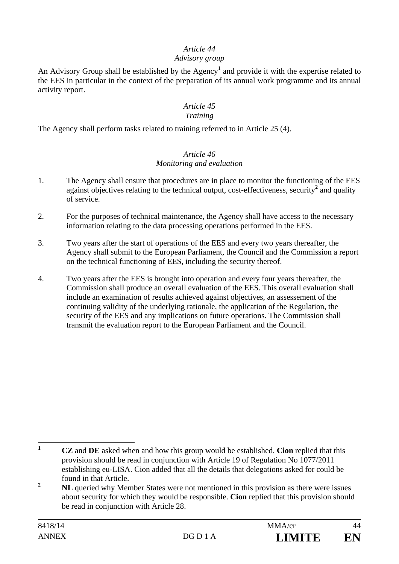### *Article 44*

### *Advisory group*

An Advisory Group shall be established by the Agency**<sup>1</sup>** and provide it with the expertise related to the EES in particular in the context of the preparation of its annual work programme and its annual activity report.

# *Article 45*

#### *Training*

The Agency shall perform tasks related to training referred to in Article 25 (4).

### *Article 46 Monitoring and evaluation*

- 1. The Agency shall ensure that procedures are in place to monitor the functioning of the EES against objectives relating to the technical output, cost-effectiveness, security<sup>2</sup> and quality of service.
- 2. For the purposes of technical maintenance, the Agency shall have access to the necessary information relating to the data processing operations performed in the EES.
- 3. Two years after the start of operations of the EES and every two years thereafter, the Agency shall submit to the European Parliament, the Council and the Commission a report on the technical functioning of EES, including the security thereof.
- 4. Two years after the EES is brought into operation and every four years thereafter, the Commission shall produce an overall evaluation of the EES. This overall evaluation shall include an examination of results achieved against objectives, an assessement of the continuing validity of the underlying rationale, the application of the Regulation, the security of the EES and any implications on future operations. The Commission shall transmit the evaluation report to the European Parliament and the Council.

 $\mathbf{1}$ **<sup>1</sup> CZ** and **DE** asked when and how this group would be established. **Cion** replied that this provision should be read in conjunction with Article 19 of Regulation No 1077/2011 establishing eu-LISA. Cion added that all the details that delegations asked for could be found in that Article.

**<sup>2</sup> NL** queried why Member States were not mentioned in this provision as there were issues about security for which they would be responsible. **Cion** replied that this provision should be read in conjunction with Article 28.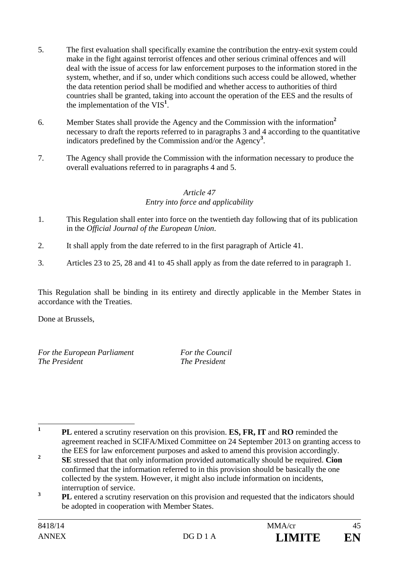- 5. The first evaluation shall specifically examine the contribution the entry-exit system could make in the fight against terrorist offences and other serious criminal offences and will deal with the issue of access for law enforcement purposes to the information stored in the system, whether, and if so, under which conditions such access could be allowed, whether the data retention period shall be modified and whether access to authorities of third countries shall be granted, taking into account the operation of the EES and the results of the implementation of the VIS**<sup>1</sup>** .
- 6. Member States shall provide the Agency and the Commission with the information**<sup>2</sup>** necessary to draft the reports referred to in paragraphs 3 and 4 according to the quantitative indicators predefined by the Commission and/or the Agency**<sup>3</sup>** .
- 7. The Agency shall provide the Commission with the information necessary to produce the overall evaluations referred to in paragraphs 4 and 5.

### *Article 47*

### *Entry into force and applicability*

- 1. This Regulation shall enter into force on the twentieth day following that of its publication in the *Official Journal of the European Union*.
- 2. It shall apply from the date referred to in the first paragraph of Article 41.
- 3. Articles 23 to 25, 28 and 41 to 45 shall apply as from the date referred to in paragraph 1.

This Regulation shall be binding in its entirety and directly applicable in the Member States in accordance with the Treaties.

Done at Brussels,

*For the European Parliament For the Council The President The President* 

 **1 PL** entered a scrutiny reservation on this provision. **ES, FR, IT** and **RO** reminded the agreement reached in SCIFA/Mixed Committee on 24 September 2013 on granting access to the EES for law enforcement purposes and asked to amend this provision accordingly.

<sup>&</sup>lt;sup>2</sup> **SE** stressed that that only information provided automatically should be required. **Cion** confirmed that the information referred to in this provision should be basically the one collected by the system. However, it might also include information on incidents, interruption of service.

<sup>&</sup>lt;sup>3</sup> **PL** entered a scrutiny reservation on this provision and requested that the indicators should be adopted in cooperation with Member States.